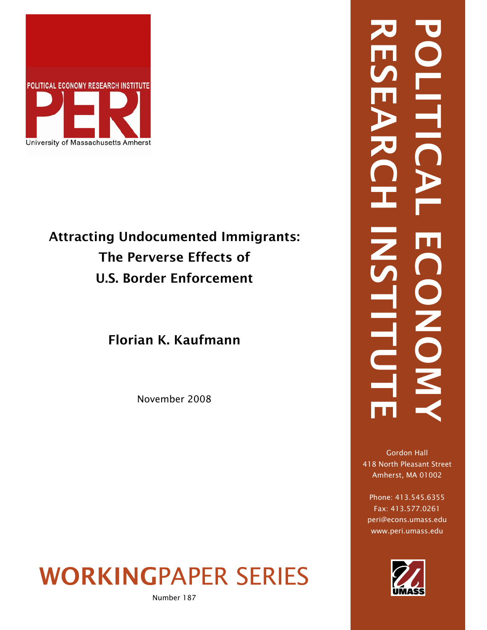

# Attracting Undocumented Immigrants: The Perverse Effects of U.S. Border Enforcement

Florian K. Kaufmann

November 2008

WORKINGPAPER SERIES

Number 187

# RESEARCH INSTITUTE POLITICAL ECONOMY **LITI** NONON HITU

Gordon Hall 418 North Pleasant Street Amherst, MA 01002

Phone: 413.545.6355 Fax: 413.577.0261 peri@econs.umass.edu www.peri.umass.edu

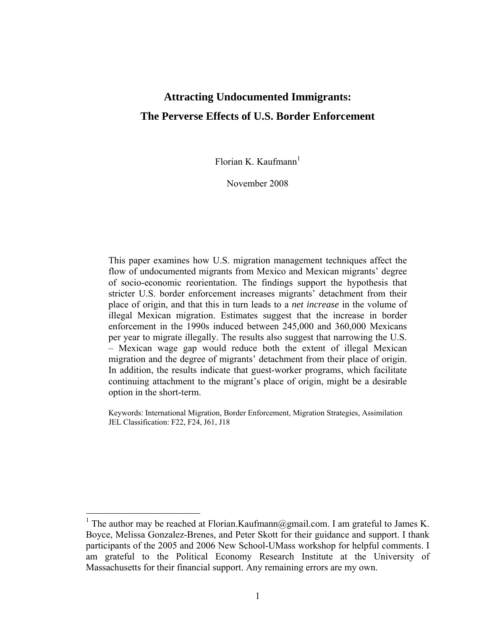## **Attracting Undocumented Immigrants: The Perverse Effects of U.S. Border Enforcement**

Florian K. Kaufmann<sup>1</sup>

November 2008

This paper examines how U.S. migration management techniques affect the flow of undocumented migrants from Mexico and Mexican migrants' degree of socio-economic reorientation. The findings support the hypothesis that stricter U.S. border enforcement increases migrants' detachment from their place of origin, and that this in turn leads to a *net increase* in the volume of illegal Mexican migration. Estimates suggest that the increase in border enforcement in the 1990s induced between 245,000 and 360,000 Mexicans per year to migrate illegally. The results also suggest that narrowing the U.S. – Mexican wage gap would reduce both the extent of illegal Mexican migration and the degree of migrants' detachment from their place of origin. In addition, the results indicate that guest-worker programs, which facilitate continuing attachment to the migrant's place of origin, might be a desirable option in the short-term.

Keywords: International Migration, Border Enforcement, Migration Strategies, Assimilation JEL Classification: F22, F24, J61, J18

<sup>&</sup>lt;sup>1</sup> The author may be reached at Florian.Kaufmann@gmail.com. I am grateful to James K. Boyce, Melissa Gonzalez-Brenes, and Peter Skott for their guidance and support. I thank participants of the 2005 and 2006 New School-UMass workshop for helpful comments. I am grateful to the Political Economy Research Institute at the University of Massachusetts for their financial support. Any remaining errors are my own.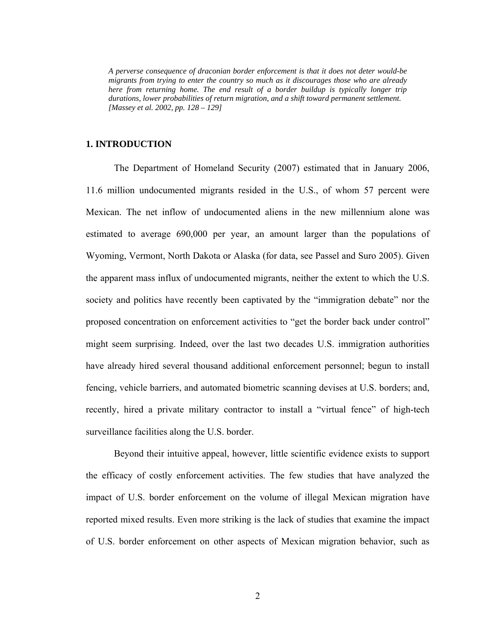*A perverse consequence of draconian border enforcement is that it does not deter would-be migrants from trying to enter the country so much as it discourages those who are already here from returning home. The end result of a border buildup is typically longer trip durations, lower probabilities of return migration, and a shift toward permanent settlement. [Massey et al. 2002, pp. 128 – 129]* 

### **1. INTRODUCTION**

The Department of Homeland Security (2007) estimated that in January 2006, 11.6 million undocumented migrants resided in the U.S., of whom 57 percent were Mexican. The net inflow of undocumented aliens in the new millennium alone was estimated to average 690,000 per year, an amount larger than the populations of Wyoming, Vermont, North Dakota or Alaska (for data, see Passel and Suro 2005). Given the apparent mass influx of undocumented migrants, neither the extent to which the U.S. society and politics have recently been captivated by the "immigration debate" nor the proposed concentration on enforcement activities to "get the border back under control" might seem surprising. Indeed, over the last two decades U.S. immigration authorities have already hired several thousand additional enforcement personnel; begun to install fencing, vehicle barriers, and automated biometric scanning devises at U.S. borders; and, recently, hired a private military contractor to install a "virtual fence" of high-tech surveillance facilities along the U.S. border.

Beyond their intuitive appeal, however, little scientific evidence exists to support the efficacy of costly enforcement activities. The few studies that have analyzed the impact of U.S. border enforcement on the volume of illegal Mexican migration have reported mixed results. Even more striking is the lack of studies that examine the impact of U.S. border enforcement on other aspects of Mexican migration behavior, such as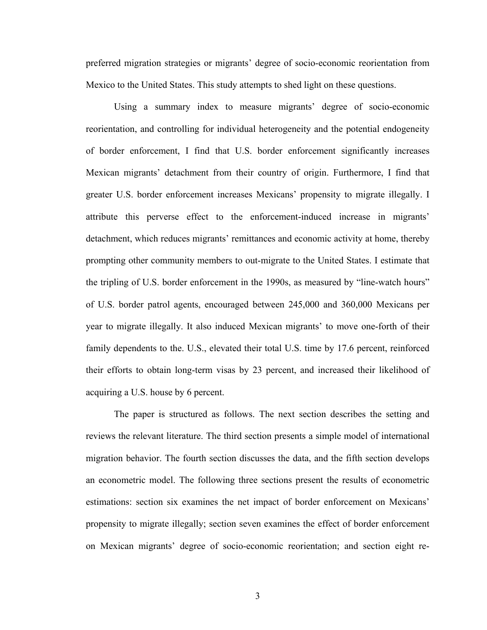preferred migration strategies or migrants' degree of socio-economic reorientation from Mexico to the United States. This study attempts to shed light on these questions.

Using a summary index to measure migrants' degree of socio-economic reorientation, and controlling for individual heterogeneity and the potential endogeneity of border enforcement, I find that U.S. border enforcement significantly increases Mexican migrants' detachment from their country of origin. Furthermore, I find that greater U.S. border enforcement increases Mexicans' propensity to migrate illegally. I attribute this perverse effect to the enforcement-induced increase in migrants' detachment, which reduces migrants' remittances and economic activity at home, thereby prompting other community members to out-migrate to the United States. I estimate that the tripling of U.S. border enforcement in the 1990s, as measured by "line-watch hours" of U.S. border patrol agents, encouraged between 245,000 and 360,000 Mexicans per year to migrate illegally. It also induced Mexican migrants' to move one-forth of their family dependents to the. U.S., elevated their total U.S. time by 17.6 percent, reinforced their efforts to obtain long-term visas by 23 percent, and increased their likelihood of acquiring a U.S. house by 6 percent.

The paper is structured as follows. The next section describes the setting and reviews the relevant literature. The third section presents a simple model of international migration behavior. The fourth section discusses the data, and the fifth section develops an econometric model. The following three sections present the results of econometric estimations: section six examines the net impact of border enforcement on Mexicans' propensity to migrate illegally; section seven examines the effect of border enforcement on Mexican migrants' degree of socio-economic reorientation; and section eight re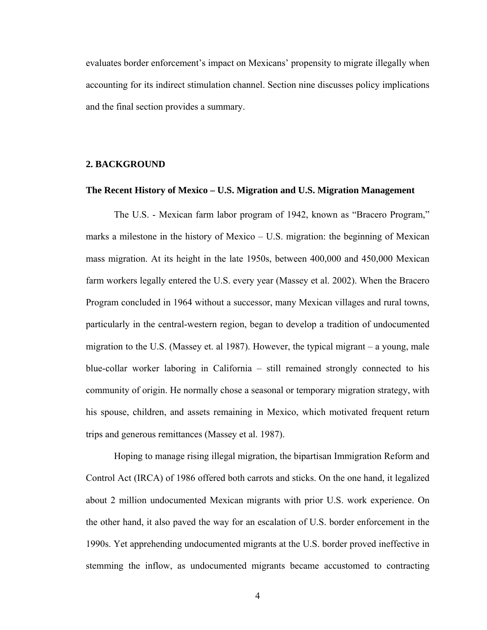evaluates border enforcement's impact on Mexicans' propensity to migrate illegally when accounting for its indirect stimulation channel. Section nine discusses policy implications and the final section provides a summary.

### **2. BACKGROUND**

### **The Recent History of Mexico – U.S. Migration and U.S. Migration Management**

The U.S. - Mexican farm labor program of 1942, known as "Bracero Program," marks a milestone in the history of Mexico – U.S. migration: the beginning of Mexican mass migration. At its height in the late 1950s, between 400,000 and 450,000 Mexican farm workers legally entered the U.S. every year (Massey et al. 2002). When the Bracero Program concluded in 1964 without a successor, many Mexican villages and rural towns, particularly in the central-western region, began to develop a tradition of undocumented migration to the U.S. (Massey et. al 1987). However, the typical migrant – a young, male blue-collar worker laboring in California – still remained strongly connected to his community of origin. He normally chose a seasonal or temporary migration strategy, with his spouse, children, and assets remaining in Mexico, which motivated frequent return trips and generous remittances (Massey et al. 1987).

Hoping to manage rising illegal migration, the bipartisan Immigration Reform and Control Act (IRCA) of 1986 offered both carrots and sticks. On the one hand, it legalized about 2 million undocumented Mexican migrants with prior U.S. work experience. On the other hand, it also paved the way for an escalation of U.S. border enforcement in the 1990s. Yet apprehending undocumented migrants at the U.S. border proved ineffective in stemming the inflow, as undocumented migrants became accustomed to contracting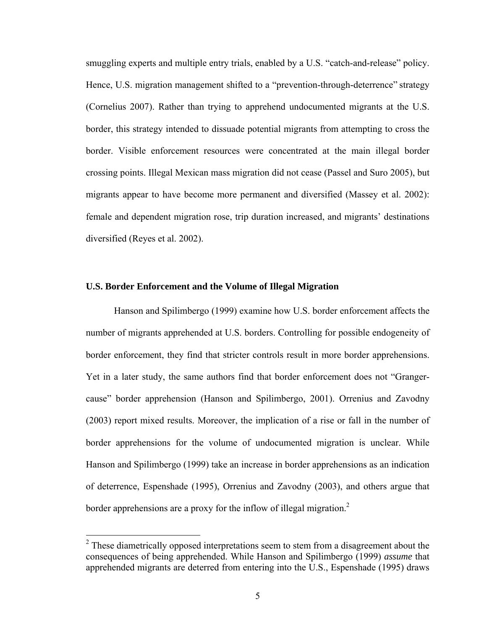smuggling experts and multiple entry trials, enabled by a U.S. "catch-and-release" policy. Hence, U.S. migration management shifted to a "prevention-through-deterrence" strategy (Cornelius 2007). Rather than trying to apprehend undocumented migrants at the U.S. border, this strategy intended to dissuade potential migrants from attempting to cross the border. Visible enforcement resources were concentrated at the main illegal border crossing points. Illegal Mexican mass migration did not cease (Passel and Suro 2005), but migrants appear to have become more permanent and diversified (Massey et al. 2002): female and dependent migration rose, trip duration increased, and migrants' destinations diversified (Reyes et al. 2002).

### **U.S. Border Enforcement and the Volume of Illegal Migration**

 $\overline{a}$ 

Hanson and Spilimbergo (1999) examine how U.S. border enforcement affects the number of migrants apprehended at U.S. borders. Controlling for possible endogeneity of border enforcement, they find that stricter controls result in more border apprehensions. Yet in a later study, the same authors find that border enforcement does not "Grangercause" border apprehension (Hanson and Spilimbergo, 2001). Orrenius and Zavodny (2003) report mixed results. Moreover, the implication of a rise or fall in the number of border apprehensions for the volume of undocumented migration is unclear. While Hanson and Spilimbergo (1999) take an increase in border apprehensions as an indication of deterrence, Espenshade (1995), Orrenius and Zavodny (2003), and others argue that border apprehensions are a proxy for the inflow of illegal migration.<sup>2</sup>

 $2$  These diametrically opposed interpretations seem to stem from a disagreement about the consequences of being apprehended. While Hanson and Spilimbergo (1999) *assume* that apprehended migrants are deterred from entering into the U.S., Espenshade (1995) draws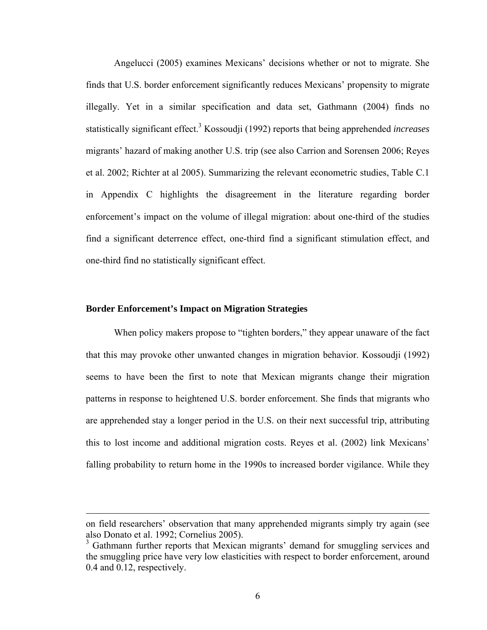Angelucci (2005) examines Mexicans' decisions whether or not to migrate. She finds that U.S. border enforcement significantly reduces Mexicans' propensity to migrate illegally. Yet in a similar specification and data set, Gathmann (2004) finds no statistically significant effect.<sup>3</sup> Kossoudji (1992) reports that being apprehended *increases* migrants' hazard of making another U.S. trip (see also Carrion and Sorensen 2006; Reyes et al. 2002; Richter at al 2005). Summarizing the relevant econometric studies, Table C.1 in Appendix C highlights the disagreement in the literature regarding border enforcement's impact on the volume of illegal migration: about one-third of the studies find a significant deterrence effect, one-third find a significant stimulation effect, and one-third find no statistically significant effect.

### **Border Enforcement's Impact on Migration Strategies**

 $\overline{a}$ 

When policy makers propose to "tighten borders," they appear unaware of the fact that this may provoke other unwanted changes in migration behavior. Kossoudji (1992) seems to have been the first to note that Mexican migrants change their migration patterns in response to heightened U.S. border enforcement. She finds that migrants who are apprehended stay a longer period in the U.S. on their next successful trip, attributing this to lost income and additional migration costs. Reyes et al. (2002) link Mexicans' falling probability to return home in the 1990s to increased border vigilance. While they

on field researchers' observation that many apprehended migrants simply try again (see also Donato et al. 1992; Cornelius 2005).

<sup>&</sup>lt;sup>3</sup> Gathmann further reports that Mexican migrants' demand for smuggling services and the smuggling price have very low elasticities with respect to border enforcement, around 0.4 and 0.12, respectively.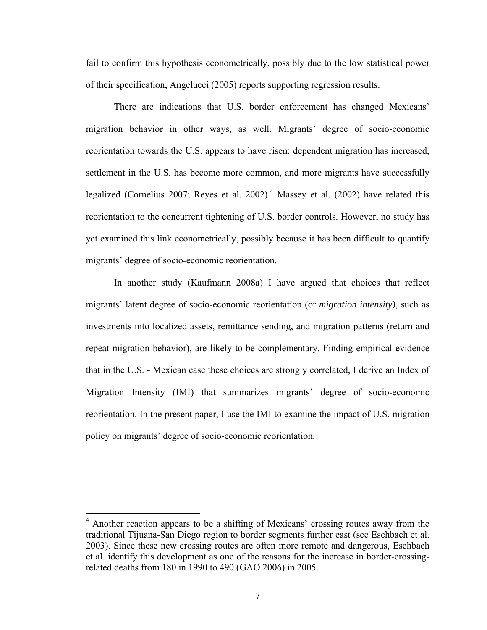fail to confirm this hypothesis econometrically, possibly due to the low statistical power of their specification, Angelucci (2005) reports supporting regression results.

There are indications that U.S. border enforcement has changed Mexicans' migration behavior in other ways, as well. Migrants' degree of socio-economic reorientation towards the U.S. appears to have risen: dependent migration has increased, settlement in the U.S. has become more common, and more migrants have successfully legalized (Cornelius 2007; Reyes et al. 2002).<sup>4</sup> Massey et al. (2002) have related this reorientation to the concurrent tightening of U.S. border controls. However, no study has yet examined this link econometrically, possibly because it has been difficult to quantify migrants' degree of socio-economic reorientation.

In another study (Kaufmann 2008a) I have argued that choices that reflect migrants' latent degree of socio-economic reorientation (or *migration intensity)*, such as investments into localized assets, remittance sending, and migration patterns (return and repeat migration behavior), are likely to be complementary. Finding empirical evidence that in the U.S. - Mexican case these choices are strongly correlated, I derive an Index of Migration Intensity (IMI) that summarizes migrants' degree of socio-economic reorientation. In the present paper, I use the IMI to examine the impact of U.S. migration policy on migrants' degree of socio-economic reorientation.

<u>.</u>

<sup>&</sup>lt;sup>4</sup> Another reaction appears to be a shifting of Mexicans' crossing routes away from the traditional Tijuana-San Diego region to border segments further east (see Eschbach et al. 2003). Since these new crossing routes are often more remote and dangerous, Eschbach et al. identify this development as one of the reasons for the increase in border-crossingrelated deaths from 180 in 1990 to 490 (GAO 2006) in 2005.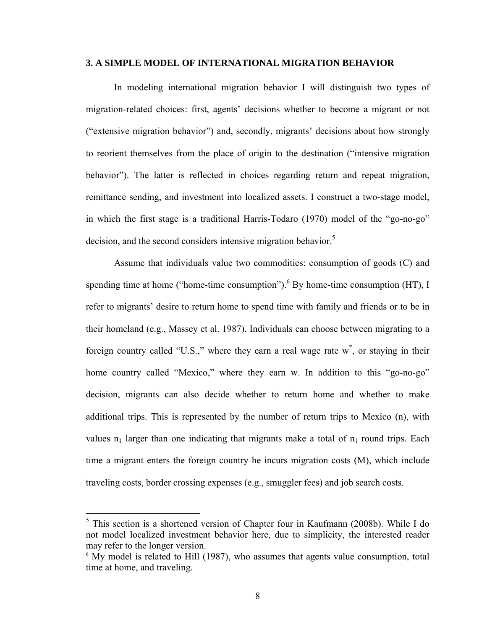### **3. A SIMPLE MODEL OF INTERNATIONAL MIGRATION BEHAVIOR**

In modeling international migration behavior I will distinguish two types of migration-related choices: first, agents' decisions whether to become a migrant or not ("extensive migration behavior") and, secondly, migrants' decisions about how strongly to reorient themselves from the place of origin to the destination ("intensive migration behavior"). The latter is reflected in choices regarding return and repeat migration, remittance sending, and investment into localized assets. I construct a two-stage model, in which the first stage is a traditional Harris-Todaro (1970) model of the "go-no-go" decision, and the second considers intensive migration behavior.<sup>5</sup>

Assume that individuals value two commodities: consumption of goods (C) and spending time at home ("home-time consumption").  $6$  By home-time consumption (HT), I refer to migrants' desire to return home to spend time with family and friends or to be in their homeland (e.g., Massey et al. 1987). Individuals can choose between migrating to a foreign country called "U.S.," where they earn a real wage rate w<sup>\*</sup>, or staying in their home country called "Mexico," where they earn w. In addition to this "go-no-go" decision, migrants can also decide whether to return home and whether to make additional trips. This is represented by the number of return trips to Mexico (n), with values  $n_1$  larger than one indicating that migrants make a total of  $n_1$  round trips. Each time a migrant enters the foreign country he incurs migration costs (M), which include traveling costs, border crossing expenses (e.g., smuggler fees) and job search costs.

 $\overline{a}$ 

<sup>&</sup>lt;sup>5</sup> This section is a shortened version of Chapter four in Kaufmann (2008b). While I do not model localized investment behavior here, due to simplicity, the interested reader may refer to the longer version.

<sup>&</sup>lt;sup>6</sup> My model is related to Hill (1987), who assumes that agents value consumption, total time at home, and traveling.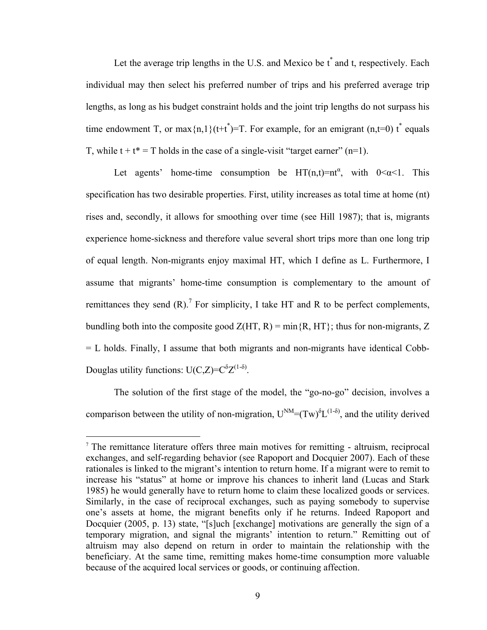Let the average trip lengths in the U.S. and Mexico be  $t^*$  and t, respectively. Each individual may then select his preferred number of trips and his preferred average trip lengths, as long as his budget constraint holds and the joint trip lengths do not surpass his time endowment T, or max $\{n,1\}$ (t+t<sup>\*</sup>)=T. For example, for an emigrant (n,t=0) t<sup>\*</sup> equals T, while  $t + t^* = T$  holds in the case of a single-visit "target earner" (n=1).

Let agents' home-time consumption be  $HT(n,t)=nt^{\alpha}$ , with  $0<\alpha<1$ . This specification has two desirable properties. First, utility increases as total time at home (nt) rises and, secondly, it allows for smoothing over time (see Hill 1987); that is, migrants experience home-sickness and therefore value several short trips more than one long trip of equal length. Non-migrants enjoy maximal HT, which I define as L. Furthermore, I assume that migrants' home-time consumption is complementary to the amount of remittances they send  $(R)$ .<sup>7</sup> For simplicity, I take HT and R to be perfect complements, bundling both into the composite good  $Z(HT, R) = min{R, HT}$ ; thus for non-migrants, Z = L holds. Finally, I assume that both migrants and non-migrants have identical Cobb-Douglas utility functions:  $U(C,Z) = C^{\delta}Z^{(1-\delta)}$ .

The solution of the first stage of the model, the "go-no-go" decision, involves a comparison between the utility of non-migration,  $U^{NM} = (Tw)^{\delta} L^{(1-\delta)}$ , and the utility derived

 $\overline{a}$ 

<sup>7</sup> The remittance literature offers three main motives for remitting - altruism, reciprocal exchanges, and self-regarding behavior (see Rapoport and Docquier 2007). Each of these rationales is linked to the migrant's intention to return home. If a migrant were to remit to increase his "status" at home or improve his chances to inherit land (Lucas and Stark 1985) he would generally have to return home to claim these localized goods or services. Similarly, in the case of reciprocal exchanges, such as paying somebody to supervise one's assets at home, the migrant benefits only if he returns. Indeed Rapoport and Docquier (2005, p. 13) state, "[s]uch [exchange] motivations are generally the sign of a temporary migration, and signal the migrants' intention to return." Remitting out of altruism may also depend on return in order to maintain the relationship with the beneficiary. At the same time, remitting makes home-time consumption more valuable because of the acquired local services or goods, or continuing affection.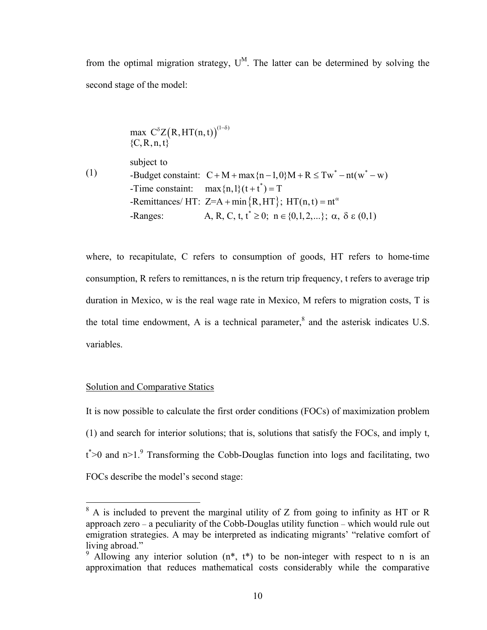from the optimal migration strategy,  $U^M$ . The latter can be determined by solving the second stage of the model:

max 
$$
C^{\delta}Z(R, HT(n, t))^{(1-\delta)}
$$
  
\n{C, R, n, t}  
\nsubject to  
\n-Budget constant:  $C + M + \max\{n-1, 0\}M + R \le Tw^* - nt(w^* - w)$   
\n-Time constant:  $\max\{n, 1\}(t + t^*) = T$   
\n-Remittances/ HT:  $Z = A + \min\{R, HT\}$ ;  $HT(n, t) = nt^{\alpha}$   
\n-Range:  $A, R, C, t, t^* \ge 0$ ;  $n \in \{0, 1, 2, \ldots\}$ ;  $\alpha, \delta \in (0, 1)$ 

where, to recapitulate, C refers to consumption of goods, HT refers to home-time consumption, R refers to remittances, n is the return trip frequency, t refers to average trip duration in Mexico, w is the real wage rate in Mexico, M refers to migration costs, T is the total time endowment, A is a technical parameter, $<sup>8</sup>$  and the asterisk indicates U.S.</sup> variables.

### Solution and Comparative Statics

 $\overline{a}$ 

It is now possible to calculate the first order conditions (FOCs) of maximization problem (1) and search for interior solutions; that is, solutions that satisfy the FOCs, and imply t,  $t^*$  >0 and n>1.<sup>9</sup> Transforming the Cobb-Douglas function into logs and facilitating, two FOCs describe the model's second stage:

 $8$  A is included to prevent the marginal utility of Z from going to infinity as HT or R approach zero – a peculiarity of the Cobb-Douglas utility function – which would rule out emigration strategies. A may be interpreted as indicating migrants' "relative comfort of living abroad."

<sup>&</sup>lt;sup>9</sup> Allowing any interior solution  $(n^*, t^*)$  to be non-integer with respect to n is an approximation that reduces mathematical costs considerably while the comparative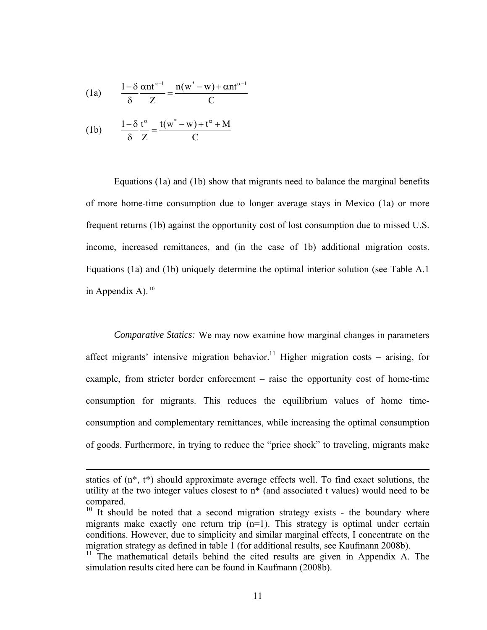(1a) 
$$
\frac{1-\delta}{\delta} \frac{\alpha n t^{\alpha-1}}{Z} = \frac{n(w^* - w) + \alpha n t^{\alpha-1}}{C}
$$

$$
(1b) \qquad \frac{1-\delta}{\delta} \frac{t^{\alpha}}{Z} = \frac{t(w^* - w) + t^{\alpha} + M}{C}
$$

 $\overline{a}$ 

Equations (1a) and (1b) show that migrants need to balance the marginal benefits of more home-time consumption due to longer average stays in Mexico (1a) or more frequent returns (1b) against the opportunity cost of lost consumption due to missed U.S. income, increased remittances, and (in the case of 1b) additional migration costs. Equations (1a) and (1b) uniquely determine the optimal interior solution (see Table A.1 in Appendix A).  $10$ 

*Comparative Statics:* We may now examine how marginal changes in parameters affect migrants' intensive migration behavior.<sup>11</sup> Higher migration costs – arising, for example, from stricter border enforcement – raise the opportunity cost of home-time consumption for migrants. This reduces the equilibrium values of home timeconsumption and complementary remittances, while increasing the optimal consumption of goods. Furthermore, in trying to reduce the "price shock" to traveling, migrants make

statics of (n\*, t\*) should approximate average effects well. To find exact solutions, the utility at the two integer values closest to n\* (and associated t values) would need to be compared.

 $10$  It should be noted that a second migration strategy exists - the boundary where migrants make exactly one return trip  $(n=1)$ . This strategy is optimal under certain conditions. However, due to simplicity and similar marginal effects, I concentrate on the migration strategy as defined in table 1 (for additional results, see Kaufmann 2008b).

<sup>&</sup>lt;sup>11</sup> The mathematical details behind the cited results are given in Appendix A. The simulation results cited here can be found in Kaufmann (2008b).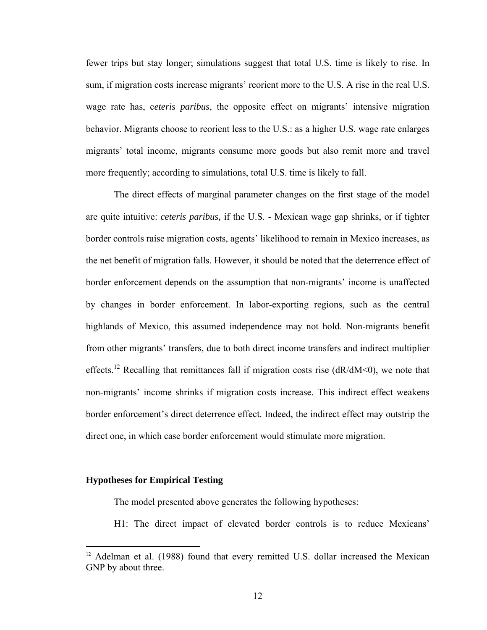fewer trips but stay longer; simulations suggest that total U.S. time is likely to rise. In sum, if migration costs increase migrants' reorient more to the U.S. A rise in the real U.S. wage rate has, c*eteris paribus*, the opposite effect on migrants' intensive migration behavior. Migrants choose to reorient less to the U.S.: as a higher U.S. wage rate enlarges migrants' total income, migrants consume more goods but also remit more and travel more frequently; according to simulations, total U.S. time is likely to fall.

The direct effects of marginal parameter changes on the first stage of the model are quite intuitive: *ceteris paribus,* if the U.S. - Mexican wage gap shrinks, or if tighter border controls raise migration costs, agents' likelihood to remain in Mexico increases, as the net benefit of migration falls. However, it should be noted that the deterrence effect of border enforcement depends on the assumption that non-migrants' income is unaffected by changes in border enforcement. In labor-exporting regions, such as the central highlands of Mexico, this assumed independence may not hold. Non-migrants benefit from other migrants' transfers, due to both direct income transfers and indirect multiplier effects.<sup>12</sup> Recalling that remittances fall if migration costs rise ( $dR/dM < 0$ ), we note that non-migrants' income shrinks if migration costs increase. This indirect effect weakens border enforcement's direct deterrence effect. Indeed, the indirect effect may outstrip the direct one, in which case border enforcement would stimulate more migration.

### **Hypotheses for Empirical Testing**

 $\overline{a}$ 

The model presented above generates the following hypotheses:

H1: The direct impact of elevated border controls is to reduce Mexicans'

<sup>&</sup>lt;sup>12</sup> Adelman et al. (1988) found that every remitted U.S. dollar increased the Mexican GNP by about three.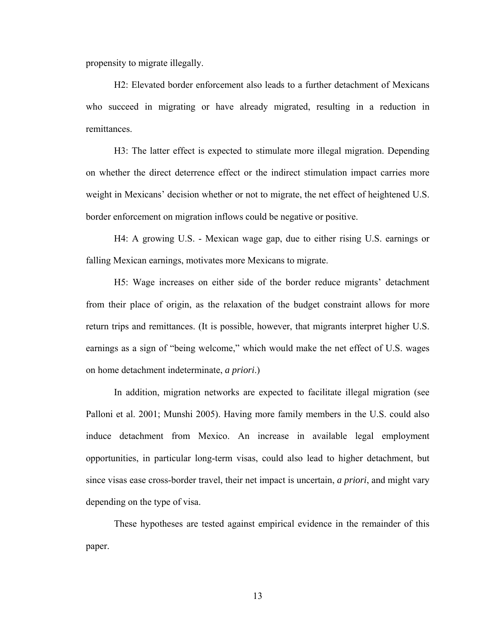propensity to migrate illegally.

H2: Elevated border enforcement also leads to a further detachment of Mexicans who succeed in migrating or have already migrated, resulting in a reduction in remittances.

H3: The latter effect is expected to stimulate more illegal migration. Depending on whether the direct deterrence effect or the indirect stimulation impact carries more weight in Mexicans' decision whether or not to migrate, the net effect of heightened U.S. border enforcement on migration inflows could be negative or positive.

H4: A growing U.S. - Mexican wage gap, due to either rising U.S. earnings or falling Mexican earnings, motivates more Mexicans to migrate.

H5: Wage increases on either side of the border reduce migrants' detachment from their place of origin, as the relaxation of the budget constraint allows for more return trips and remittances. (It is possible, however, that migrants interpret higher U.S. earnings as a sign of "being welcome," which would make the net effect of U.S. wages on home detachment indeterminate, *a priori*.)

In addition, migration networks are expected to facilitate illegal migration (see Palloni et al. 2001; Munshi 2005). Having more family members in the U.S. could also induce detachment from Mexico. An increase in available legal employment opportunities, in particular long-term visas, could also lead to higher detachment, but since visas ease cross-border travel, their net impact is uncertain, *a priori*, and might vary depending on the type of visa.

These hypotheses are tested against empirical evidence in the remainder of this paper.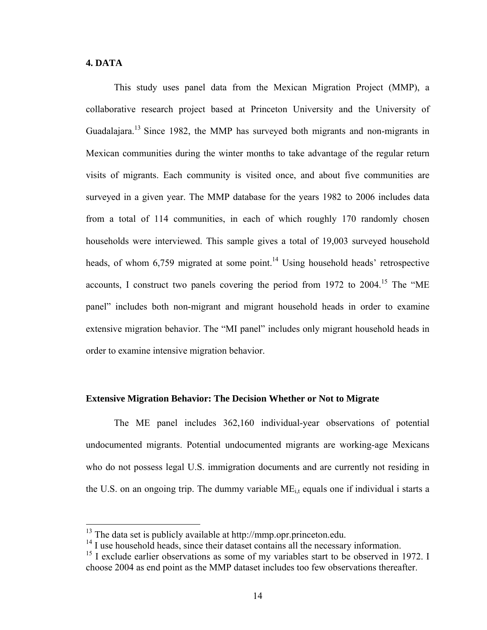### **4. DATA**

 $\overline{a}$ 

This study uses panel data from the Mexican Migration Project (MMP), a collaborative research project based at Princeton University and the University of Guadalajara.13 Since 1982, the MMP has surveyed both migrants and non-migrants in Mexican communities during the winter months to take advantage of the regular return visits of migrants. Each community is visited once, and about five communities are surveyed in a given year. The MMP database for the years 1982 to 2006 includes data from a total of 114 communities, in each of which roughly 170 randomly chosen households were interviewed. This sample gives a total of 19,003 surveyed household heads, of whom  $6,759$  migrated at some point.<sup>14</sup> Using household heads' retrospective accounts, I construct two panels covering the period from  $1972$  to  $2004$ .<sup>15</sup> The "ME panel" includes both non-migrant and migrant household heads in order to examine extensive migration behavior. The "MI panel" includes only migrant household heads in order to examine intensive migration behavior.

### **Extensive Migration Behavior: The Decision Whether or Not to Migrate**

The ME panel includes 362,160 individual-year observations of potential undocumented migrants. Potential undocumented migrants are working-age Mexicans who do not possess legal U.S. immigration documents and are currently not residing in the U.S. on an ongoing trip. The dummy variable  $ME_{i,t}$  equals one if individual i starts a

 $13$  The data set is publicly available at http://mmp.opr.princeton.edu.

<sup>&</sup>lt;sup>14</sup> I use household heads, since their dataset contains all the necessary information.

<sup>&</sup>lt;sup>15</sup> I exclude earlier observations as some of my variables start to be observed in 1972. I choose 2004 as end point as the MMP dataset includes too few observations thereafter.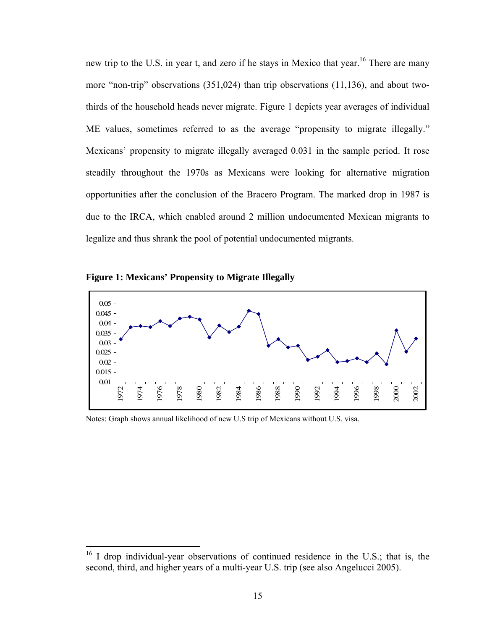new trip to the U.S. in year t, and zero if he stays in Mexico that year.<sup>16</sup> There are many more "non-trip" observations (351,024) than trip observations (11,136), and about twothirds of the household heads never migrate. Figure 1 depicts year averages of individual ME values, sometimes referred to as the average "propensity to migrate illegally." Mexicans' propensity to migrate illegally averaged 0.031 in the sample period. It rose steadily throughout the 1970s as Mexicans were looking for alternative migration opportunities after the conclusion of the Bracero Program. The marked drop in 1987 is due to the IRCA, which enabled around 2 million undocumented Mexican migrants to legalize and thus shrank the pool of potential undocumented migrants.

**Figure 1: Mexicans' Propensity to Migrate Illegally** 

 $\overline{a}$ 



Notes: Graph shows annual likelihood of new U.S trip of Mexicans without U.S. visa.

<sup>&</sup>lt;sup>16</sup> I drop individual-year observations of continued residence in the U.S.; that is, the second, third, and higher years of a multi-year U.S. trip (see also Angelucci 2005).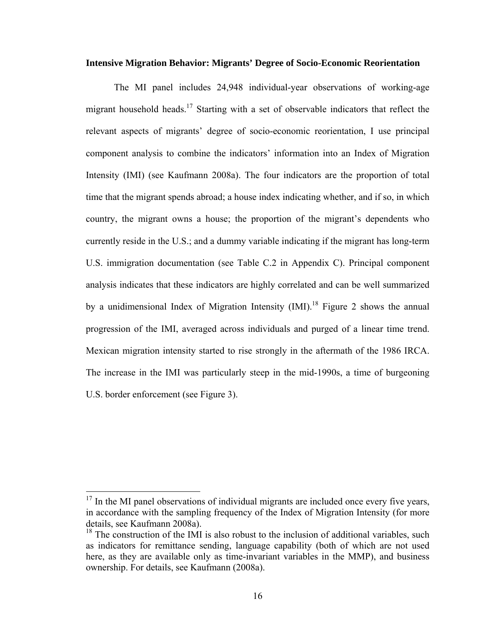### **Intensive Migration Behavior: Migrants' Degree of Socio-Economic Reorientation**

The MI panel includes 24,948 individual-year observations of working-age migrant household heads.<sup>17</sup> Starting with a set of observable indicators that reflect the relevant aspects of migrants' degree of socio-economic reorientation, I use principal component analysis to combine the indicators' information into an Index of Migration Intensity (IMI) (see Kaufmann 2008a). The four indicators are the proportion of total time that the migrant spends abroad; a house index indicating whether, and if so, in which country, the migrant owns a house; the proportion of the migrant's dependents who currently reside in the U.S.; and a dummy variable indicating if the migrant has long-term U.S. immigration documentation (see Table C.2 in Appendix C). Principal component analysis indicates that these indicators are highly correlated and can be well summarized by a unidimensional Index of Migration Intensity  $(IMI)^{18}$  Figure 2 shows the annual progression of the IMI, averaged across individuals and purged of a linear time trend. Mexican migration intensity started to rise strongly in the aftermath of the 1986 IRCA. The increase in the IMI was particularly steep in the mid-1990s, a time of burgeoning U.S. border enforcement (see Figure 3).

 $\overline{a}$ 

 $17$  In the MI panel observations of individual migrants are included once every five years, in accordance with the sampling frequency of the Index of Migration Intensity (for more details, see Kaufmann 2008a).

 $18$  The construction of the IMI is also robust to the inclusion of additional variables, such as indicators for remittance sending, language capability (both of which are not used here, as they are available only as time-invariant variables in the MMP), and business ownership. For details, see Kaufmann (2008a).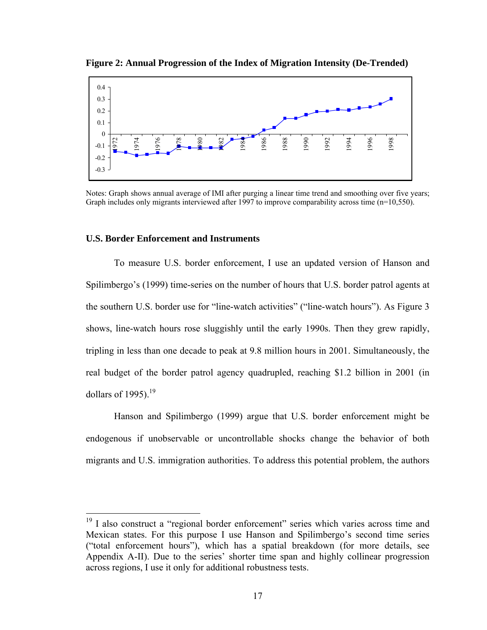

**Figure 2: Annual Progression of the Index of Migration Intensity (De-Trended)** 

Notes: Graph shows annual average of IMI after purging a linear time trend and smoothing over five years; Graph includes only migrants interviewed after 1997 to improve comparability across time (n=10,550).

### **U.S. Border Enforcement and Instruments**

 $\overline{a}$ 

To measure U.S. border enforcement, I use an updated version of Hanson and Spilimbergo's (1999) time-series on the number of hours that U.S. border patrol agents at the southern U.S. border use for "line-watch activities" ("line-watch hours"). As Figure 3 shows, line-watch hours rose sluggishly until the early 1990s. Then they grew rapidly, tripling in less than one decade to peak at 9.8 million hours in 2001. Simultaneously, the real budget of the border patrol agency quadrupled, reaching \$1.2 billion in 2001 (in dollars of 1995). $19$ 

Hanson and Spilimbergo (1999) argue that U.S. border enforcement might be endogenous if unobservable or uncontrollable shocks change the behavior of both migrants and U.S. immigration authorities. To address this potential problem, the authors

<sup>&</sup>lt;sup>19</sup> I also construct a "regional border enforcement" series which varies across time and Mexican states. For this purpose I use Hanson and Spilimbergo's second time series ("total enforcement hours"), which has a spatial breakdown (for more details, see Appendix A-II). Due to the series' shorter time span and highly collinear progression across regions, I use it only for additional robustness tests.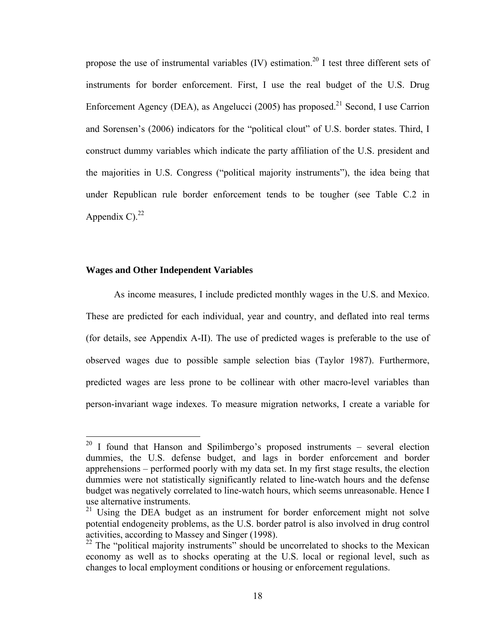propose the use of instrumental variables  $(IV)$  estimation.<sup>20</sup> I test three different sets of instruments for border enforcement. First, I use the real budget of the U.S. Drug Enforcement Agency (DEA), as Angelucci (2005) has proposed.<sup>21</sup> Second, I use Carrion and Sorensen's (2006) indicators for the "political clout" of U.S. border states. Third, I construct dummy variables which indicate the party affiliation of the U.S. president and the majorities in U.S. Congress ("political majority instruments"), the idea being that under Republican rule border enforcement tends to be tougher (see Table C.2 in Appendix C) $^{22}$ 

### **Wages and Other Independent Variables**

 $\overline{a}$ 

As income measures, I include predicted monthly wages in the U.S. and Mexico. These are predicted for each individual, year and country, and deflated into real terms (for details, see Appendix A-II). The use of predicted wages is preferable to the use of observed wages due to possible sample selection bias (Taylor 1987). Furthermore, predicted wages are less prone to be collinear with other macro-level variables than person-invariant wage indexes. To measure migration networks, I create a variable for

 $20$  I found that Hanson and Spilimbergo's proposed instruments – several election dummies, the U.S. defense budget, and lags in border enforcement and border apprehensions – performed poorly with my data set. In my first stage results, the election dummies were not statistically significantly related to line-watch hours and the defense budget was negatively correlated to line-watch hours, which seems unreasonable. Hence I use alternative instruments.

 $21$  Using the DEA budget as an instrument for border enforcement might not solve potential endogeneity problems, as the U.S. border patrol is also involved in drug control activities, according to Massey and Singer (1998).

<sup>&</sup>lt;sup>22</sup> The "political majority instruments" should be uncorrelated to shocks to the Mexican economy as well as to shocks operating at the U.S. local or regional level, such as changes to local employment conditions or housing or enforcement regulations.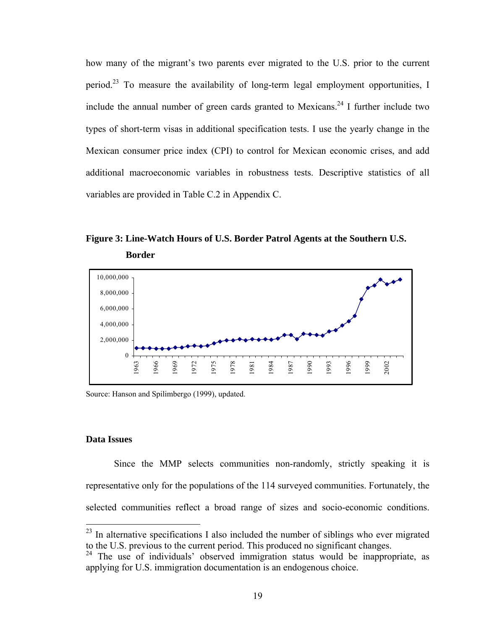how many of the migrant's two parents ever migrated to the U.S. prior to the current period.23 To measure the availability of long-term legal employment opportunities, I include the annual number of green cards granted to Mexicans.<sup>24</sup> I further include two types of short-term visas in additional specification tests. I use the yearly change in the Mexican consumer price index (CPI) to control for Mexican economic crises, and add additional macroeconomic variables in robustness tests. Descriptive statistics of all variables are provided in Table C.2 in Appendix C.

**Figure 3: Line-Watch Hours of U.S. Border Patrol Agents at the Southern U.S. Border**



Source: Hanson and Spilimbergo (1999), updated.

### **Data Issues**

 $\overline{a}$ 

Since the MMP selects communities non-randomly, strictly speaking it is representative only for the populations of the 114 surveyed communities. Fortunately, the selected communities reflect a broad range of sizes and socio-economic conditions.

 $^{23}$  In alternative specifications I also included the number of siblings who ever migrated to the U.S. previous to the current period. This produced no significant changes.

 $24$  The use of individuals' observed immigration status would be inappropriate, as applying for U.S. immigration documentation is an endogenous choice.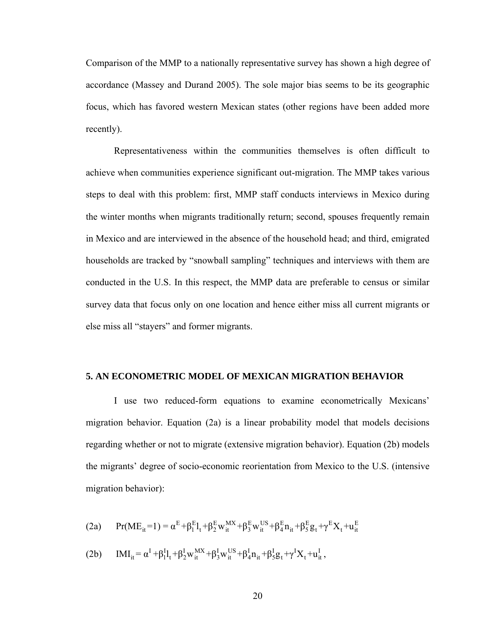Comparison of the MMP to a nationally representative survey has shown a high degree of accordance (Massey and Durand 2005). The sole major bias seems to be its geographic focus, which has favored western Mexican states (other regions have been added more recently).

Representativeness within the communities themselves is often difficult to achieve when communities experience significant out-migration. The MMP takes various steps to deal with this problem: first, MMP staff conducts interviews in Mexico during the winter months when migrants traditionally return; second, spouses frequently remain in Mexico and are interviewed in the absence of the household head; and third, emigrated households are tracked by "snowball sampling" techniques and interviews with them are conducted in the U.S. In this respect, the MMP data are preferable to census or similar survey data that focus only on one location and hence either miss all current migrants or else miss all "stayers" and former migrants.

### **5. AN ECONOMETRIC MODEL OF MEXICAN MIGRATION BEHAVIOR**

I use two reduced-form equations to examine econometrically Mexicans' migration behavior. Equation (2a) is a linear probability model that models decisions regarding whether or not to migrate (extensive migration behavior). Equation (2b) models the migrants' degree of socio-economic reorientation from Mexico to the U.S. (intensive migration behavior):

(2a) 
$$
Pr(ME_{it} = 1) = \alpha^{E} + \beta_{1}^{E}I_{t} + \beta_{2}^{E}W_{it}^{MX} + \beta_{3}^{E}W_{it}^{US} + \beta_{4}^{E}n_{it} + \beta_{5}^{E}g_{t} + \gamma^{E}X_{t} + u_{it}^{E}
$$

(2b)  $IMI_{it} = \alpha^{I} + \beta_{1}^{I}l_{t} + \beta_{2}^{I}w_{it}^{MX} + \beta_{3}^{I}w_{it}^{US} + \beta_{4}^{I}n_{it} + \beta_{5}^{I}g_{t} + \gamma^{I}X_{t} + u_{it}^{I},$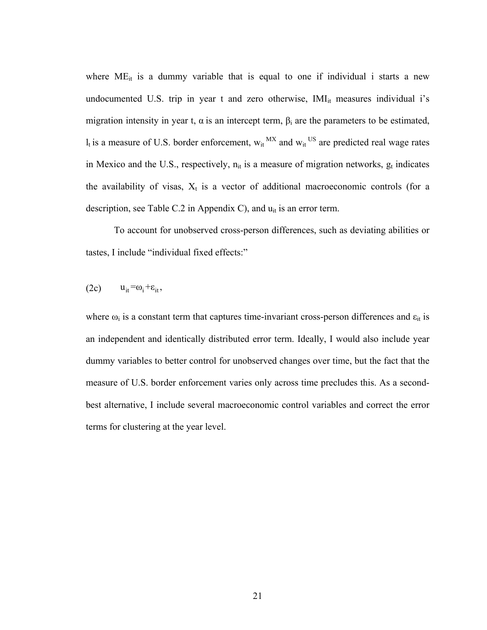where  $ME_{it}$  is a dummy variable that is equal to one if individual i starts a new undocumented U.S. trip in year  $t$  and zero otherwise,  $IMI_{it}$  measures individual i's migration intensity in year t,  $\alpha$  is an intercept term,  $\beta_i$  are the parameters to be estimated,  $l_t$  is a measure of U.S. border enforcement,  $w_{it}^{MX}$  and  $w_{it}^{US}$  are predicted real wage rates in Mexico and the U.S., respectively,  $n_{it}$  is a measure of migration networks,  $g_t$  indicates the availability of visas,  $X_t$  is a vector of additional macroeconomic controls (for a description, see Table C.2 in Appendix C), and  $u_{it}$  is an error term.

To account for unobserved cross-person differences, such as deviating abilities or tastes, I include "individual fixed effects:"

$$
(2c) \qquad u_{it} = \omega_i + \varepsilon_{it},
$$

where  $\omega_i$  is a constant term that captures time-invariant cross-person differences and  $\varepsilon_{it}$  is an independent and identically distributed error term. Ideally, I would also include year dummy variables to better control for unobserved changes over time, but the fact that the measure of U.S. border enforcement varies only across time precludes this. As a secondbest alternative, I include several macroeconomic control variables and correct the error terms for clustering at the year level.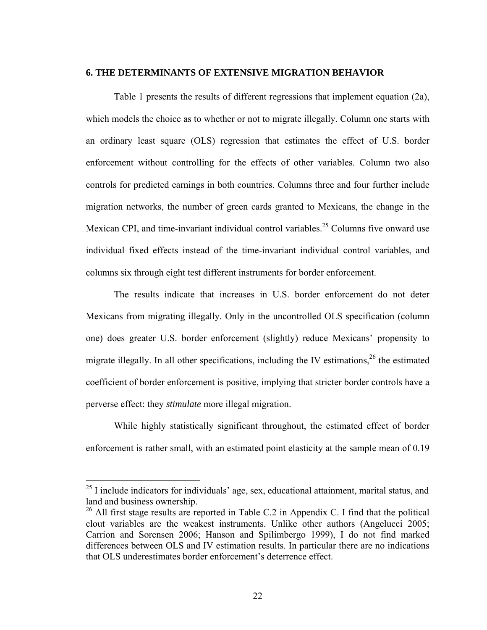### **6. THE DETERMINANTS OF EXTENSIVE MIGRATION BEHAVIOR**

Table 1 presents the results of different regressions that implement equation (2a), which models the choice as to whether or not to migrate illegally. Column one starts with an ordinary least square (OLS) regression that estimates the effect of U.S. border enforcement without controlling for the effects of other variables. Column two also controls for predicted earnings in both countries. Columns three and four further include migration networks, the number of green cards granted to Mexicans, the change in the Mexican CPI, and time-invariant individual control variables.<sup>25</sup> Columns five onward use individual fixed effects instead of the time-invariant individual control variables, and columns six through eight test different instruments for border enforcement.

The results indicate that increases in U.S. border enforcement do not deter Mexicans from migrating illegally. Only in the uncontrolled OLS specification (column one) does greater U.S. border enforcement (slightly) reduce Mexicans' propensity to migrate illegally. In all other specifications, including the IV estimations,  $26$  the estimated coefficient of border enforcement is positive, implying that stricter border controls have a perverse effect: they *stimulate* more illegal migration.

While highly statistically significant throughout, the estimated effect of border enforcement is rather small, with an estimated point elasticity at the sample mean of 0.19

 $\overline{a}$ 

 $25$  I include indicators for individuals' age, sex, educational attainment, marital status, and land and business ownership.

<sup>&</sup>lt;sup>26</sup> All first stage results are reported in Table C.2 in Appendix C. I find that the political clout variables are the weakest instruments. Unlike other authors (Angelucci 2005; Carrion and Sorensen 2006; Hanson and Spilimbergo 1999), I do not find marked differences between OLS and IV estimation results. In particular there are no indications that OLS underestimates border enforcement's deterrence effect.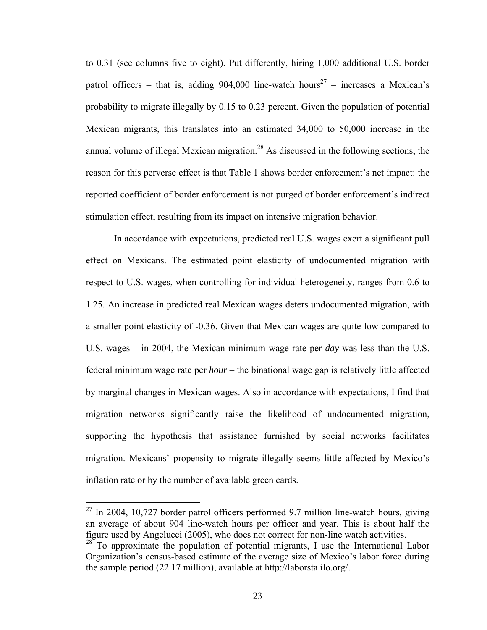to 0.31 (see columns five to eight). Put differently, hiring 1,000 additional U.S. border patrol officers – that is, adding 904,000 line-watch hours<sup>27</sup> – increases a Mexican's probability to migrate illegally by 0.15 to 0.23 percent. Given the population of potential Mexican migrants, this translates into an estimated 34,000 to 50,000 increase in the annual volume of illegal Mexican migration.<sup>28</sup> As discussed in the following sections, the reason for this perverse effect is that Table 1 shows border enforcement's net impact: the reported coefficient of border enforcement is not purged of border enforcement's indirect stimulation effect, resulting from its impact on intensive migration behavior.

In accordance with expectations, predicted real U.S. wages exert a significant pull effect on Mexicans. The estimated point elasticity of undocumented migration with respect to U.S. wages, when controlling for individual heterogeneity, ranges from 0.6 to 1.25. An increase in predicted real Mexican wages deters undocumented migration, with a smaller point elasticity of -0.36. Given that Mexican wages are quite low compared to U.S. wages – in 2004, the Mexican minimum wage rate per *day* was less than the U.S. federal minimum wage rate per *hour* – the binational wage gap is relatively little affected by marginal changes in Mexican wages. Also in accordance with expectations, I find that migration networks significantly raise the likelihood of undocumented migration, supporting the hypothesis that assistance furnished by social networks facilitates migration. Mexicans' propensity to migrate illegally seems little affected by Mexico's inflation rate or by the number of available green cards.

1

 $^{27}$  In 2004, 10,727 border patrol officers performed 9.7 million line-watch hours, giving an average of about 904 line-watch hours per officer and year. This is about half the figure used by Angelucci (2005), who does not correct for non-line watch activities.

 $28^{\circ}$  To approximate the population of potential migrants, I use the International Labor Organization's census-based estimate of the average size of Mexico's labor force during the sample period (22.17 million), available at http://laborsta.ilo.org/.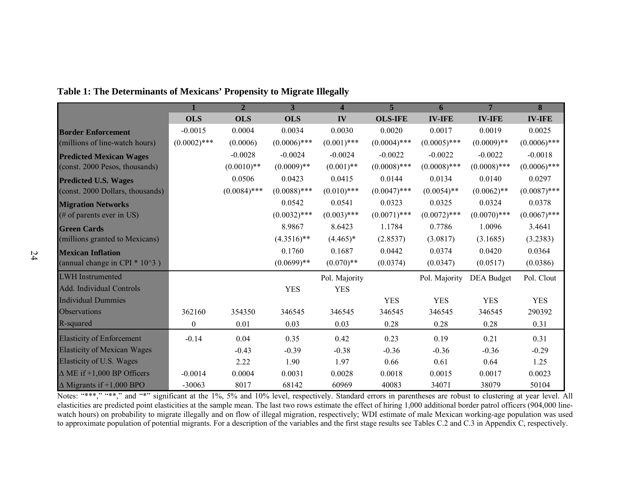|                                          |                  | $\overline{2}$ | 3              | $\overline{\mathbf{4}}$ | $\overline{5}$ | 6              | $7\phantom{.0}$   | $\overline{\mathbf{8}}$ |
|------------------------------------------|------------------|----------------|----------------|-------------------------|----------------|----------------|-------------------|-------------------------|
|                                          | <b>OLS</b>       | <b>OLS</b>     | <b>OLS</b>     | IV                      | <b>OLS-IFE</b> | <b>IV-IFE</b>  | <b>IV-IFE</b>     | <b>IV-IFE</b>           |
| <b>Border Enforcement</b>                | $-0.0015$        | 0.0004         | 0.0034         | 0.0030                  | 0.0020         | 0.0017         | 0.0019            | 0.0025                  |
| (millions of line-watch hours)           | $(0.0002)$ ***   | (0.0006)       | $(0.0006)$ *** | $(0.001)$ ***           | $(0.0004)$ *** | $(0.0005)$ *** | $(0.0009)$ **     | $(0.0006)$ ***          |
| <b>Predicted Mexican Wages</b>           |                  | $-0.0028$      | $-0.0024$      | $-0.0024$               | $-0.0022$      | $-0.0022$      | $-0.0022$         | $-0.0018$               |
| (const. 2000 Pesos, thousands)           |                  | $(0.0010)**$   | $(0.0009)$ **  | $(0.001)$ **            | $(0.0008)$ *** | $(0.0008)$ *** | $(0.0008)$ ***    | $(0.0006)$ ***          |
| <b>Predicted U.S. Wages</b>              |                  | 0.0506         | 0.0423         | 0.0415                  | 0.0144         | 0.0134         | 0.0140            | 0.0297                  |
| (const. 2000 Dollars, thousands)         |                  | $(0.0084)$ *** | $(0.0088)$ *** | $(0.010)$ ***           | $(0.0047)$ *** | $(0.0054)$ **  | $(0.0062)$ **     | $(0.0087)$ ***          |
| <b>Migration Networks</b>                |                  |                | 0.0542         | 0.0541                  | 0.0323         | 0.0325         | 0.0324            | 0.0378                  |
| (# of parents ever in US)                |                  |                | $(0.0032)$ *** | $(0.003)$ ***           | $(0.0071)$ *** | $(0.0072)$ *** | $(0.0070)$ ***    | $(0.0067)$ ***          |
| <b>Green Cards</b>                       |                  |                | 8.9867         | 8.6423                  | 1.1784         | 0.7786         | 1.0096            | 3.4641                  |
| (millions granted to Mexicans)           |                  |                | $(4.3516)$ **  | $(4.465)*$              | (2.8537)       | (3.0817)       | (3.1685)          | (3.2383)                |
| <b>Mexican Inflation</b>                 |                  |                | 0.1760         | 0.1687                  | 0.0442         | 0.0374         | 0.0420            | 0.0364                  |
| (annual change in CPI $*$ 10 $\hat{3}$ ) |                  |                | $(0.0699)**$   | $(0.070)$ **            | (0.0374)       | (0.0347)       | (0.0517)          | (0.0386)                |
| <b>LWH</b> Instrumented                  |                  |                |                | Pol. Majority           |                | Pol. Majority  | <b>DEA</b> Budget | Pol. Clout              |
| Add. Individual Controls                 |                  |                | <b>YES</b>     | <b>YES</b>              |                |                |                   |                         |
| <b>Individual Dummies</b>                |                  |                |                |                         | <b>YES</b>     | <b>YES</b>     | <b>YES</b>        | <b>YES</b>              |
| Observations                             | 362160           | 354350         | 346545         | 346545                  | 346545         | 346545         | 346545            | 290392                  |
| R-squared                                | $\boldsymbol{0}$ | 0.01           | 0.03           | 0.03                    | 0.28           | 0.28           | 0.28              | 0.31                    |
| <b>Elasticity of Enforcement</b>         | $-0.14$          | 0.04           | 0.35           | 0.42                    | 0.23           | 0.19           | 0.21              | 0.31                    |
| <b>Elasticity of Mexican Wages</b>       |                  | $-0.43$        | $-0.39$        | $-0.38$                 | $-0.36$        | $-0.36$        | $-0.36$           | $-0.29$                 |
| Elasticity of U.S. Wages                 |                  | 2.22           | 1.90           | 1.97                    | 0.66           | 0.61           | 0.64              | 1.25                    |
| $\triangle$ ME if +1,000 BP Officers     | $-0.0014$        | 0.0004         | 0.0031         | 0.0028                  | 0.0018         | 0.0015         | 0.0017            | 0.0023                  |
| $\triangle$ Migrants if +1,000 BPO       | $-30063$         | 8017           | 68142          | 60969                   | 40083          | 34071          | 38079             | 50104                   |

### **Table 1: The Determinants of Mexicans' Propensity to Migrate Illegally**

Notes: "\*\*\*," "\*\*," and "\*" significant at the 1%, 5% and 10% level, respectively. Standard errors in parentheses are robust to clustering at year level. All elasticities are predicted point elasticities at the sample mean. The last two rows estimate the effect of hiring 1,000 additional border patrol officers (904,000 linewatch hours) on probability to migrate illegally and on flow of illegal migration, respectively; WDI estimate of male Mexican working-age population was used to approximate population of potential migrants. For a description of the variables and the first stage results see Tables C.2 and C.3 in Appendix C, respectively.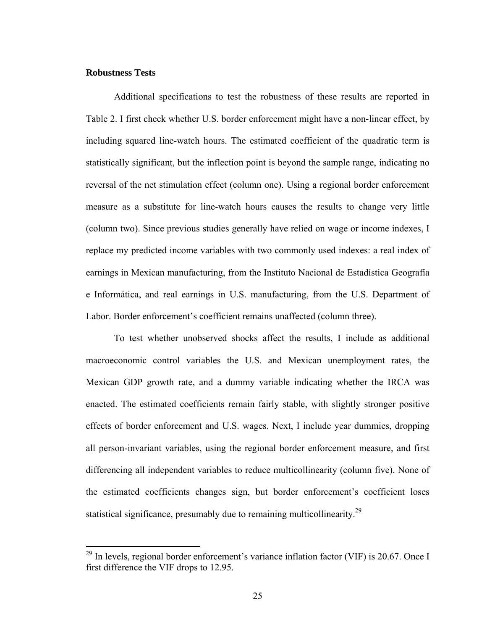### **Robustness Tests**

 $\overline{a}$ 

Additional specifications to test the robustness of these results are reported in Table 2. I first check whether U.S. border enforcement might have a non-linear effect, by including squared line-watch hours. The estimated coefficient of the quadratic term is statistically significant, but the inflection point is beyond the sample range, indicating no reversal of the net stimulation effect (column one). Using a regional border enforcement measure as a substitute for line-watch hours causes the results to change very little (column two). Since previous studies generally have relied on wage or income indexes, I replace my predicted income variables with two commonly used indexes: a real index of earnings in Mexican manufacturing, from the Instituto Nacional de Estadística Geografía e Informática, and real earnings in U.S. manufacturing, from the U.S. Department of Labor. Border enforcement's coefficient remains unaffected (column three).

To test whether unobserved shocks affect the results, I include as additional macroeconomic control variables the U.S. and Mexican unemployment rates, the Mexican GDP growth rate, and a dummy variable indicating whether the IRCA was enacted. The estimated coefficients remain fairly stable, with slightly stronger positive effects of border enforcement and U.S. wages. Next, I include year dummies, dropping all person-invariant variables, using the regional border enforcement measure, and first differencing all independent variables to reduce multicollinearity (column five). None of the estimated coefficients changes sign, but border enforcement's coefficient loses statistical significance, presumably due to remaining multicollinearity.<sup>29</sup>

 $^{29}$  In levels, regional border enforcement's variance inflation factor (VIF) is 20.67. Once I first difference the VIF drops to 12.95.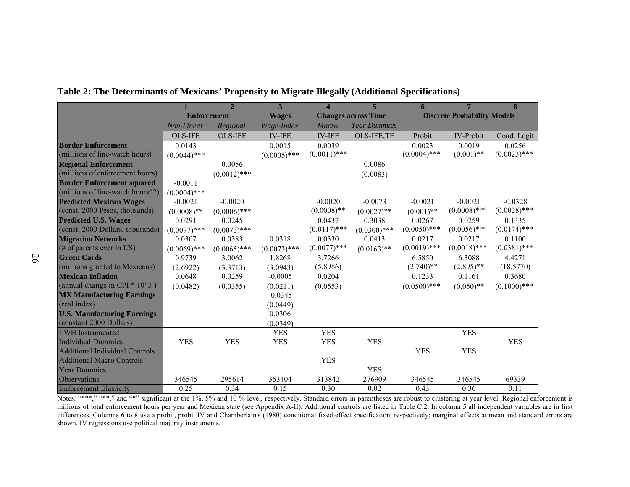|                                              |                    |                | 3              | 4              |                            |                |                                    | 8              |
|----------------------------------------------|--------------------|----------------|----------------|----------------|----------------------------|----------------|------------------------------------|----------------|
|                                              | <b>Enforcement</b> |                | <b>Wages</b>   |                | <b>Changes across Time</b> |                | <b>Discrete Probability Models</b> |                |
|                                              | Non-Linear         | Regional       | Wage-Index     | Macro          | <b>Year Dummies</b>        |                |                                    |                |
|                                              | <b>OLS-IFE</b>     | <b>OLS-IFE</b> | <b>IV-IFE</b>  | <b>IV-IFE</b>  | OLS-IFE,TE                 | Probit         | <b>IV-Probit</b>                   | Cond. Logit    |
| <b>Border Enforcement</b>                    | 0.0143             |                | 0.0015         | 0.0039         |                            | 0.0023         | 0.0019                             | 0.0256         |
| (millions of line-watch hours)               | $(0.0044)$ ***     |                | $(0.0005)$ *** | $(0.0011)$ *** |                            | $(0.0004)$ *** | $(0.001)$ **                       | $(0.0023)$ *** |
| <b>Regional Enforcement</b>                  |                    | 0.0056         |                |                | 0.0086                     |                |                                    |                |
| (millions of enforcement hours)              |                    | $(0.0012)$ *** |                |                | (0.0083)                   |                |                                    |                |
| <b>Border Enforcement squared</b>            | $-0.0011$          |                |                |                |                            |                |                                    |                |
| (millions of line-watch hours $\binom{2}{2}$ | $(0.0004)$ ***     |                |                |                |                            |                |                                    |                |
| <b>Predicted Mexican Wages</b>               | $-0.0021$          | $-0.0020$      |                | $-0.0020$      | $-0.0073$                  | $-0.0021$      | $-0.0021$                          | $-0.0328$      |
| (const. 2000 Pesos, thousands)               | $(0.0008)$ **      | $(0.0006)$ *** |                | $(0.0008)$ **  | $(0.0027)$ **              | $(0.001)$ **   | $(0.0008)$ ***                     | $(0.0028)$ *** |
| <b>Predicted U.S. Wages</b>                  | 0.0291             | 0.0245         |                | 0.0437         | 0.3038                     | 0.0267         | 0.0259                             | 0.1335         |
| (const. 2000 Dollars, thousands)             | $(0.0077)$ ***     | $(0.0073)$ *** |                | $(0.0117)$ *** | $(0.0300)$ ***             | $(0.0050)$ *** | $(0.0056)$ ***                     | $(0.0174)$ *** |
| <b>Migration Networks</b>                    | 0.0307             | 0.0383         | 0.0318         | 0.0330         | 0.0413                     | 0.0217         | 0.0217                             | 0.1100         |
| (# of parents ever in US)                    | $(0.0069)$ ***     | $(0.0065)$ *** | $(0.0073)$ *** | $(0.0077)$ *** | $(0.0163)$ **              | $(0.0019)$ *** | $(0.0018)$ ***                     | $(0.0381)$ *** |
| <b>Green Cards</b>                           | 0.9739             | 3.0062         | 1.8268         | 3.7266         |                            | 6.5850         | 6.3088                             | 4.4271         |
| (millions granted to Mexicans)               | (2.6922)           | (3.3713)       | (3.0943)       | (5.8986)       |                            | $(2.740)$ **   | $(2.895)$ **                       | (18.5770)      |
| <b>Mexican Inflation</b>                     | 0.0648             | 0.0259         | $-0.0005$      | 0.0204         |                            | 0.1233         | 0.1161                             | 0.3680         |
| (annual change in CPI $*$ 10^3)              | (0.0482)           | (0.0355)       | (0.0211)       | (0.0553)       |                            | $(0.0500)$ *** | $(0.050)**$                        | $(0.1000)$ *** |
| <b>MX Manufacturing Earnings</b>             |                    |                | $-0.0345$      |                |                            |                |                                    |                |
| (real index)                                 |                    |                | (0.0449)       |                |                            |                |                                    |                |
| <b>U.S. Manufacturing Earnings</b>           |                    |                | 0.0306         |                |                            |                |                                    |                |
| (constant 2000 Dollars)                      |                    |                | (0.0349)       |                |                            |                |                                    |                |
| <b>LWH</b> Instrumented                      |                    |                | <b>YES</b>     | <b>YES</b>     |                            |                | <b>YES</b>                         |                |
| <b>Individual Dummies</b>                    | <b>YES</b>         | <b>YES</b>     | <b>YES</b>     | <b>YES</b>     | <b>YES</b>                 |                |                                    | <b>YES</b>     |
| <b>Additional Individual Controls</b>        |                    |                |                |                |                            | <b>YES</b>     | <b>YES</b>                         |                |
| <b>Additional Macro Controls</b>             |                    |                |                | <b>YES</b>     |                            |                |                                    |                |
| <b>Year Dummies</b>                          |                    |                |                |                | <b>YES</b>                 |                |                                    |                |
| <b>Observations</b>                          | 346545             | 295614         | 353404         | 313842         | 276909                     | 346545         | 346545                             | 69339          |
| <b>Enforcement Elasticity</b>                | 0.25               | 0.34           | 0.15           | 0.30           | 0.02                       | 0.43           | 0.36                               | 0.11           |

**Table 2: The Determinants of Mexicans' Propensity to Migrate Illegally (Additional Specifications)** 

Notes: "\*\*\*," "\*\*," and "\*" significant at the 1%, 5% and 10 % level, respectively. Standard errors in parentheses are robust to clustering at year level. Regional enforcement is millions of total enforcement hours per year and Mexican state (see Appendix A-II). Additional controls are listed in Table C.2. In column 5 all independent variables are in first differences. Columns 6 to 8 use a probit, probit IV and Chamberlain's (1980) conditional fixed effect specification, respectively; marginal effects at mean and standard errors are shown. IV regressions use political majority instruments.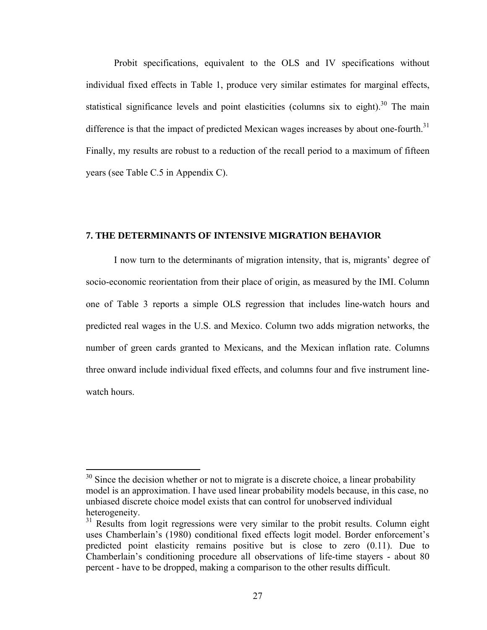Probit specifications, equivalent to the OLS and IV specifications without individual fixed effects in Table 1, produce very similar estimates for marginal effects, statistical significance levels and point elasticities (columns six to eight).<sup>30</sup> The main difference is that the impact of predicted Mexican wages increases by about one-fourth.<sup>31</sup> Finally, my results are robust to a reduction of the recall period to a maximum of fifteen years (see Table C.5 in Appendix C).

### **7. THE DETERMINANTS OF INTENSIVE MIGRATION BEHAVIOR**

I now turn to the determinants of migration intensity, that is, migrants' degree of socio-economic reorientation from their place of origin, as measured by the IMI. Column one of Table 3 reports a simple OLS regression that includes line-watch hours and predicted real wages in the U.S. and Mexico. Column two adds migration networks, the number of green cards granted to Mexicans, and the Mexican inflation rate. Columns three onward include individual fixed effects, and columns four and five instrument linewatch hours.

<u>.</u>

 $30$  Since the decision whether or not to migrate is a discrete choice, a linear probability model is an approximation. I have used linear probability models because, in this case, no unbiased discrete choice model exists that can control for unobserved individual heterogeneity.

 $31$  Results from logit regressions were very similar to the probit results. Column eight uses Chamberlain's (1980) conditional fixed effects logit model. Border enforcement's predicted point elasticity remains positive but is close to zero (0.11). Due to Chamberlain's conditioning procedure all observations of life-time stayers - about 80 percent - have to be dropped, making a comparison to the other results difficult.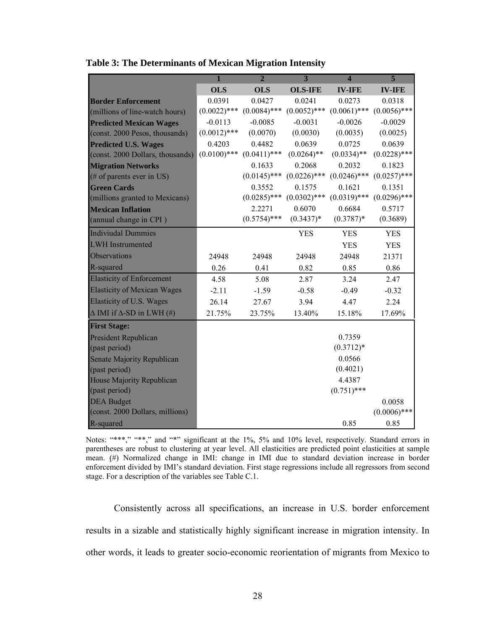|                                         | $\overline{1}$ | $\overline{2}$ | $\overline{\mathbf{3}}$ | $\overline{\mathbf{4}}$ | $\overline{5}$ |
|-----------------------------------------|----------------|----------------|-------------------------|-------------------------|----------------|
|                                         | <b>OLS</b>     | <b>OLS</b>     | <b>OLS-IFE</b>          | <b>IV-IFE</b>           | <b>IV-IFE</b>  |
| <b>Border Enforcement</b>               | 0.0391         | 0.0427         | 0.0241                  | 0.0273                  | 0.0318         |
| (millions of line-watch hours)          | $(0.0022)$ *** | $(0.0084)$ *** | $(0.0052)$ ***          | $(0.0061)$ ***          | $(0.0056)$ *** |
| <b>Predicted Mexican Wages</b>          | $-0.0113$      | $-0.0085$      | $-0.0031$               | $-0.0026$               | $-0.0029$      |
| (const. 2000 Pesos, thousands)          | $(0.0012)$ *** | (0.0070)       | (0.0030)                | (0.0035)                | (0.0025)       |
| <b>Predicted U.S. Wages</b>             | 0.4203         | 0.4482         | 0.0639                  | 0.0725                  | 0.0639         |
| (const. 2000 Dollars, thousands)        | $(0.0100)$ *** | $(0.0411)$ *** | $(0.0264)$ **           | $(0.0334)$ **           | $(0.0228)$ *** |
| <b>Migration Networks</b>               |                | 0.1633         | 0.2068                  | 0.2032                  | 0.1823         |
| (# of parents ever in US)               |                | $(0.0145)$ *** | $(0.0226)$ ***          | $(0.0246)$ ***          | $(0.0257)$ *** |
| <b>Green Cards</b>                      |                | 0.3552         | 0.1575                  | 0.1621                  | 0.1351         |
| (millions granted to Mexicans)          |                | $(0.0285)$ *** | $(0.0302)$ ***          | $(0.0319)$ ***          | $(0.0296)$ *** |
| <b>Mexican Inflation</b>                |                | 2.2271         | 0.6070                  | 0.6684                  | 0.5717         |
| (annual change in CPI)                  |                | $(0.5754)$ *** | $(0.3437)*$             | $(0.3787)*$             | (0.3689)       |
| <b>Indiviudal Dummies</b>               |                |                | <b>YES</b>              | <b>YES</b>              | <b>YES</b>     |
| <b>LWH</b> Instrumented                 |                |                |                         | <b>YES</b>              | <b>YES</b>     |
| Observations                            | 24948          | 24948          | 24948                   | 24948                   | 21371          |
| R-squared                               | 0.26           | 0.41           | 0.82                    | 0.85                    | 0.86           |
| <b>Elasticity of Enforcement</b>        | 4.58           | 5.08           | 2.87                    | 3.24                    | 2.47           |
| <b>Elasticity of Mexican Wages</b>      | $-2.11$        | $-1.59$        | $-0.58$                 | $-0.49$                 | $-0.32$        |
| Elasticity of U.S. Wages                | 26.14          | 27.67          | 3.94                    | 4.47                    | 2.24           |
| $\Delta$ IMI if $\Delta$ -SD in LWH (#) | 21.75%         | 23.75%         | 13.40%                  | 15.18%                  | 17.69%         |
| <b>First Stage:</b>                     |                |                |                         |                         |                |
| President Republican                    |                |                |                         | 0.7359                  |                |
| (past period)                           |                |                |                         | $(0.3712)*$             |                |
| Senate Majority Republican              |                |                |                         | 0.0566                  |                |
| (past period)                           |                |                |                         | (0.4021)                |                |
| House Majority Republican               |                |                |                         | 4.4387                  |                |
| (past period)                           |                |                |                         | $(0.751)$ ***           |                |
| <b>DEA</b> Budget                       |                |                |                         |                         | 0.0058         |
| (const. 2000 Dollars, millions)         |                |                |                         |                         | $(0.0006)$ *** |
| R-squared                               |                |                |                         | 0.85                    | 0.85           |

**Table 3: The Determinants of Mexican Migration Intensity** 

Notes: "\*\*\*," "\*\*," and "\*" significant at the 1%, 5% and 10% level, respectively. Standard errors in parentheses are robust to clustering at year level. All elasticities are predicted point elasticities at sample mean. (#) Normalized change in IMI: change in IMI due to standard deviation increase in border enforcement divided by IMI's standard deviation. First stage regressions include all regressors from second stage. For a description of the variables see Table C.1.

Consistently across all specifications, an increase in U.S. border enforcement results in a sizable and statistically highly significant increase in migration intensity. In other words, it leads to greater socio-economic reorientation of migrants from Mexico to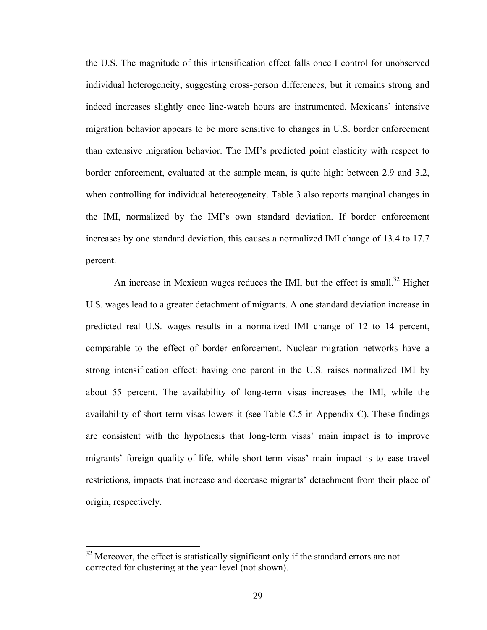the U.S. The magnitude of this intensification effect falls once I control for unobserved individual heterogeneity, suggesting cross-person differences, but it remains strong and indeed increases slightly once line-watch hours are instrumented. Mexicans' intensive migration behavior appears to be more sensitive to changes in U.S. border enforcement than extensive migration behavior. The IMI's predicted point elasticity with respect to border enforcement, evaluated at the sample mean, is quite high: between 2.9 and 3.2, when controlling for individual hetereogeneity. Table 3 also reports marginal changes in the IMI, normalized by the IMI's own standard deviation. If border enforcement increases by one standard deviation, this causes a normalized IMI change of 13.4 to 17.7 percent.

An increase in Mexican wages reduces the IMI, but the effect is small.<sup>32</sup> Higher U.S. wages lead to a greater detachment of migrants. A one standard deviation increase in predicted real U.S. wages results in a normalized IMI change of 12 to 14 percent, comparable to the effect of border enforcement. Nuclear migration networks have a strong intensification effect: having one parent in the U.S. raises normalized IMI by about 55 percent. The availability of long-term visas increases the IMI, while the availability of short-term visas lowers it (see Table C.5 in Appendix C). These findings are consistent with the hypothesis that long-term visas' main impact is to improve migrants' foreign quality-of-life, while short-term visas' main impact is to ease travel restrictions, impacts that increase and decrease migrants' detachment from their place of origin, respectively.

1

 $32$  Moreover, the effect is statistically significant only if the standard errors are not corrected for clustering at the year level (not shown).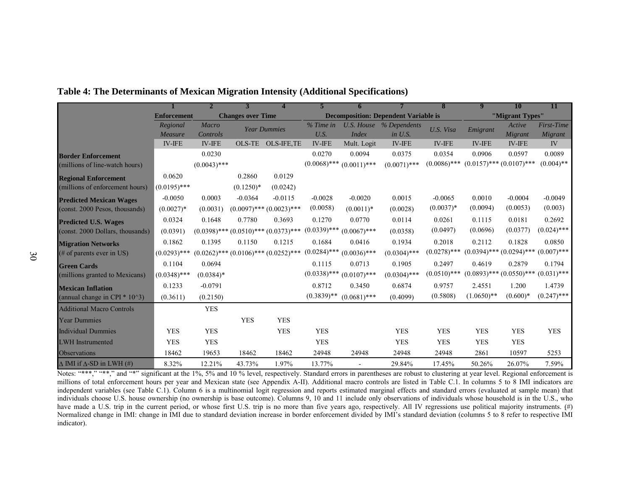|                                          |                    | $\mathbf{2}$   |                          |                                              |                |                |                                             | 8              | 9                             | <b>10</b>       | 11            |
|------------------------------------------|--------------------|----------------|--------------------------|----------------------------------------------|----------------|----------------|---------------------------------------------|----------------|-------------------------------|-----------------|---------------|
|                                          | <b>Enforcement</b> |                | <b>Changes over Time</b> |                                              |                |                | <b>Decomposition: Dependent Variable is</b> |                |                               | "Migrant Types" |               |
|                                          | Regional           | Macro          |                          | <b>Year Dummies</b>                          | % Time in      |                | U.S. House % Dependents                     | U.S. Visa      | Emigrant                      | Active          | First-Time    |
|                                          | Measure            | Controls       |                          |                                              | U.S.           | <b>Index</b>   | in U.S.                                     |                |                               | Migrant         | Migrant       |
|                                          | $IV$ - $IFE$       | $IV$ -IFE      | OLS-TE                   | <b>OLS-IFE,TE</b>                            | <b>IV-IFE</b>  | Mult. Logit    | <b>IV-IFE</b>                               | <b>IV-IFE</b>  | <b>IV-IFE</b>                 | <b>IV-IFE</b>   | IV            |
| <b>Border Enforcement</b>                |                    | 0.0230         |                          |                                              | 0.0270         | 0.0094         | 0.0375                                      | 0.0354         | 0.0906                        | 0.0597          | 0.0089        |
| (millions of line-watch hours)           |                    | $(0.0043)$ *** |                          |                                              | $(0.0068)$ *** | $(0.0011)$ *** | $(0.0071)$ ***                              | $(0.0086)$ *** | $(0.0157)$ *** $(0.0107)$ *** |                 | $(0.004)$ **  |
| <b>Regional Enforcement</b>              | 0.0620             |                | 0.2860                   | 0.0129                                       |                |                |                                             |                |                               |                 |               |
| (millions of enforcement hours)          | $(0.0195)$ ***     |                | $(0.1250)*$              | (0.0242)                                     |                |                |                                             |                |                               |                 |               |
| <b>Predicted Mexican Wages</b>           | $-0.0050$          | 0.0003         | $-0.0364$                | $-0.0115$                                    | $-0.0028$      | $-0.0020$      | 0.0015                                      | $-0.0065$      | 0.0010                        | $-0.0004$       | $-0.0049$     |
| (const. 2000 Pesos, thousands)           | $(0.0027)*$        | (0.0031)       |                          | $(0.0097)$ *** $(0.0023)$ ***                | (0.0058)       | $(0.0011)*$    | (0.0028)                                    | $(0.0037)^*$   | (0.0094)                      | (0.0053)        | (0.003)       |
| <b>Predicted U.S. Wages</b>              | 0.0324             | 0.1648         | 0.7780                   | 0.3693                                       | 0.1270         | 0.0770         | 0.0114                                      | 0.0261         | 0.1115                        | 0.0181          | 0.2692        |
| (const. 2000 Dollars, thousands)         | (0.0391)           |                |                          | $(0.0398)$ *** $(0.0510)$ *** $(0.0373)$ *** | $(0.0339)$ *** | $(0.0067)$ *** | (0.0358)                                    | (0.0497)       | (0.0696)                      | (0.0377)        | $(0.024)$ *** |
| <b>Migration Networks</b>                | 0.1862             | 0.1395         | 0.1150                   | 0.1215                                       | 0.1684         | 0.0416         | 0.1934                                      | 0.2018         | 0.2112                        | 0.1828          | 0.0850        |
| $(\# \text{ of parents ever in US})$     | $(0.0293)$ ***     |                |                          | $(0.0262)$ *** $(0.0106)$ *** $(0.0252)$ *** | $(0.0284)$ *** | $(0.0036)$ *** | $(0.0304)$ ***                              | $(0.0278)$ *** | $(0.0394)$ *** $(0.0294)$ *** |                 | $(0.007)$ *** |
| <b>Green Cards</b>                       | 0.1104             | 0.0694         |                          |                                              | 0.1115         | 0.0713         | 0.1905                                      | 0.2497         | 0.4619                        | 0.2879          | 0.1794        |
| (millions granted to Mexicans)           | $(0.0348)$ ***     | $(0.0384)*$    |                          |                                              | $(0.0338)$ *** | $(0.0107)$ *** | $(0.0304)$ ***                              | $(0.0510)$ *** | $(0.0893)$ *** $(0.0550)$ *** |                 | $(0.031)$ *** |
| <b>Mexican Inflation</b>                 | 0.1233             | $-0.0791$      |                          |                                              | 0.8712         | 0.3450         | 0.6874                                      | 0.9757         | 2.4551                        | 1.200           | 1.4739        |
| (annual change in CPI $*$ 10 $\hat{3}$ ) | (0.3611)           | (0.2150)       |                          |                                              | $(0.3839)$ **  | $(0.0681)$ *** | (0.4099)                                    | (0.5808)       | $(1.0650)**$                  | $(0.600)*$      | $(0.247)$ *** |
| <b>Additional Macro Controls</b>         |                    | <b>YES</b>     |                          |                                              |                |                |                                             |                |                               |                 |               |
| <b>Year Dummies</b>                      |                    |                | <b>YES</b>               | <b>YES</b>                                   |                |                |                                             |                |                               |                 |               |
| <b>Individual Dummies</b>                | <b>YES</b>         | <b>YES</b>     |                          | <b>YES</b>                                   | <b>YES</b>     |                | <b>YES</b>                                  | <b>YES</b>     | <b>YES</b>                    | <b>YES</b>      | <b>YES</b>    |
| <b>LWH</b> Instrumented                  | <b>YES</b>         | <b>YES</b>     |                          |                                              | <b>YES</b>     |                | <b>YES</b>                                  | <b>YES</b>     | <b>YES</b>                    | <b>YES</b>      |               |
| Observations                             | 18462              | 19653          | 18462                    | 18462                                        | 24948          | 24948          | 24948                                       | 24948          | 2861                          | 10597           | 5253          |
| $\Delta$ IMI if $\Delta$ -SD in LWH (#)  | 8.32%              | 12.21%         | 43.73%                   | 1.97%                                        | 13.77%         |                | 29.84%                                      | 17.45%         | 50.26%                        | 26.07%          | 7.59%         |

### **Table 4: The Determinants of Mexican Migration Intensity (Additional Specifications)**

Notes: "\*\*\*," "\*\*," and "\*" significant at the 1%, 5% and 10 % level, respectively. Standard errors in parentheses are robust to clustering at year level. Regional enforcement is millions of total enforcement hours per year and Mexican state (see Appendix A-II). Additional macro controls are listed in Table C.1. In columns 5 to 8 IMI indicators are independent variables (see Table C.1). Column 6 is a multinomial logit regression and reports estimated marginal effects and standard errors (evaluated at sample mean) that individuals choose U.S. house ownership (no ownership is base outcome). Columns 9, 10 and 11 include only observations of individuals whose household is in the U.S., who have made a U.S. trip in the current period, or whose first U.S. trip is no more than five years ago, respectively. All IV regressions use political majority instruments. (#) Normalized change in IMI: change in IMI due to standard deviation increase in border enforcement divided by IMI's standard deviation (columns 5 to 8 refer to respective IMI) indicator).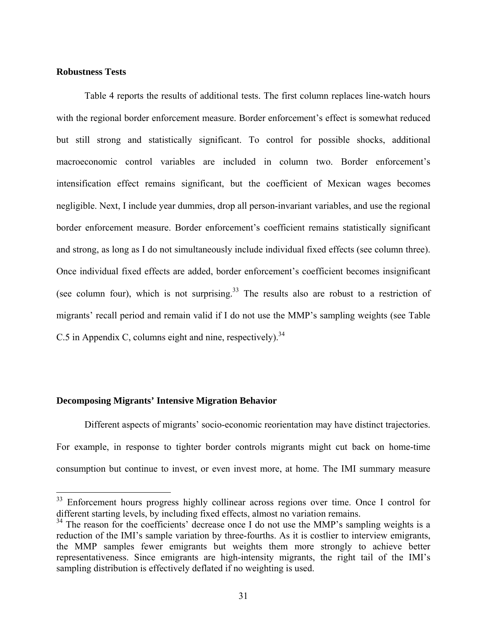### **Robustness Tests**

 $\overline{a}$ 

Table 4 reports the results of additional tests. The first column replaces line-watch hours with the regional border enforcement measure. Border enforcement's effect is somewhat reduced but still strong and statistically significant. To control for possible shocks, additional macroeconomic control variables are included in column two. Border enforcement's intensification effect remains significant, but the coefficient of Mexican wages becomes negligible. Next, I include year dummies, drop all person-invariant variables, and use the regional border enforcement measure. Border enforcement's coefficient remains statistically significant and strong, as long as I do not simultaneously include individual fixed effects (see column three). Once individual fixed effects are added, border enforcement's coefficient becomes insignificant (see column four), which is not surprising.<sup>33</sup> The results also are robust to a restriction of migrants' recall period and remain valid if I do not use the MMP's sampling weights (see Table C.5 in Appendix C, columns eight and nine, respectively).<sup>34</sup>

### **Decomposing Migrants' Intensive Migration Behavior**

Different aspects of migrants' socio-economic reorientation may have distinct trajectories. For example, in response to tighter border controls migrants might cut back on home-time consumption but continue to invest, or even invest more, at home. The IMI summary measure

<sup>&</sup>lt;sup>33</sup> Enforcement hours progress highly collinear across regions over time. Once I control for different starting levels, by including fixed effects, almost no variation remains.

 $34$  The reason for the coefficients' decrease once I do not use the MMP's sampling weights is a reduction of the IMI's sample variation by three-fourths. As it is costlier to interview emigrants, the MMP samples fewer emigrants but weights them more strongly to achieve better representativeness. Since emigrants are high-intensity migrants, the right tail of the IMI's sampling distribution is effectively deflated if no weighting is used.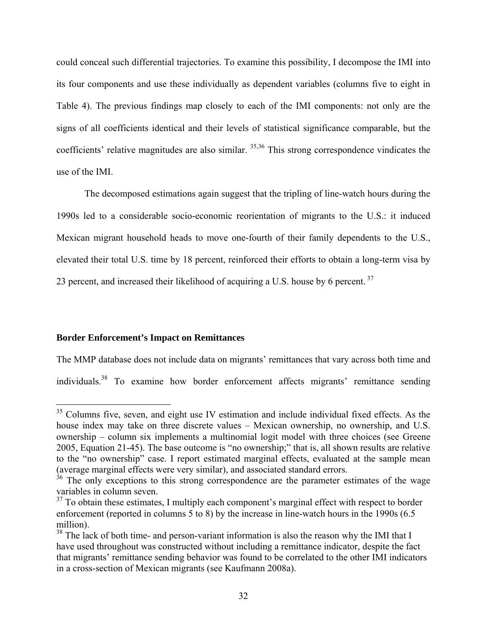could conceal such differential trajectories. To examine this possibility, I decompose the IMI into its four components and use these individually as dependent variables (columns five to eight in Table 4). The previous findings map closely to each of the IMI components: not only are the signs of all coefficients identical and their levels of statistical significance comparable, but the coefficients' relative magnitudes are also similar. <sup>35,36</sup> This strong correspondence vindicates the use of the IMI.

The decomposed estimations again suggest that the tripling of line-watch hours during the 1990s led to a considerable socio-economic reorientation of migrants to the U.S.: it induced Mexican migrant household heads to move one-fourth of their family dependents to the U.S., elevated their total U.S. time by 18 percent, reinforced their efforts to obtain a long-term visa by 23 percent, and increased their likelihood of acquiring a U.S. house by 6 percent.<sup>37</sup>

### **Border Enforcement's Impact on Remittances**

 $\overline{a}$ 

The MMP database does not include data on migrants' remittances that vary across both time and individuals.38 To examine how border enforcement affects migrants' remittance sending

 $35$  Columns five, seven, and eight use IV estimation and include individual fixed effects. As the house index may take on three discrete values – Mexican ownership, no ownership, and U.S. ownership – column six implements a multinomial logit model with three choices (see Greene 2005, Equation 21-45). The base outcome is "no ownership;" that is, all shown results are relative to the "no ownership" case. I report estimated marginal effects, evaluated at the sample mean (average marginal effects were very similar), and associated standard errors.

 $36$  The only exceptions to this strong correspondence are the parameter estimates of the wage variables in column seven.

 $37$  To obtain these estimates, I multiply each component's marginal effect with respect to border enforcement (reported in columns 5 to 8) by the increase in line-watch hours in the 1990s (6.5 million).

<sup>&</sup>lt;sup>38</sup> The lack of both time- and person-variant information is also the reason why the IMI that I have used throughout was constructed without including a remittance indicator, despite the fact that migrants' remittance sending behavior was found to be correlated to the other IMI indicators in a cross-section of Mexican migrants (see Kaufmann 2008a).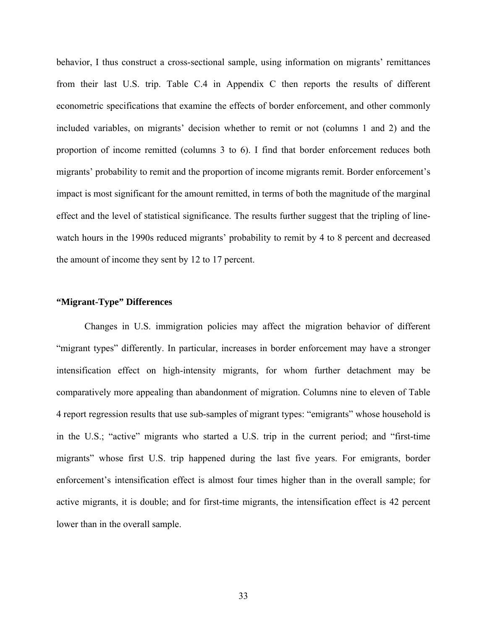behavior, I thus construct a cross-sectional sample, using information on migrants' remittances from their last U.S. trip. Table C.4 in Appendix C then reports the results of different econometric specifications that examine the effects of border enforcement, and other commonly included variables, on migrants' decision whether to remit or not (columns 1 and 2) and the proportion of income remitted (columns 3 to 6). I find that border enforcement reduces both migrants' probability to remit and the proportion of income migrants remit. Border enforcement's impact is most significant for the amount remitted, in terms of both the magnitude of the marginal effect and the level of statistical significance. The results further suggest that the tripling of linewatch hours in the 1990s reduced migrants' probability to remit by 4 to 8 percent and decreased the amount of income they sent by 12 to 17 percent.

### **"Migrant-Type" Differences**

Changes in U.S. immigration policies may affect the migration behavior of different "migrant types" differently. In particular, increases in border enforcement may have a stronger intensification effect on high-intensity migrants, for whom further detachment may be comparatively more appealing than abandonment of migration. Columns nine to eleven of Table 4 report regression results that use sub-samples of migrant types: "emigrants" whose household is in the U.S.; "active" migrants who started a U.S. trip in the current period; and "first-time migrants" whose first U.S. trip happened during the last five years. For emigrants, border enforcement's intensification effect is almost four times higher than in the overall sample; for active migrants, it is double; and for first-time migrants, the intensification effect is 42 percent lower than in the overall sample.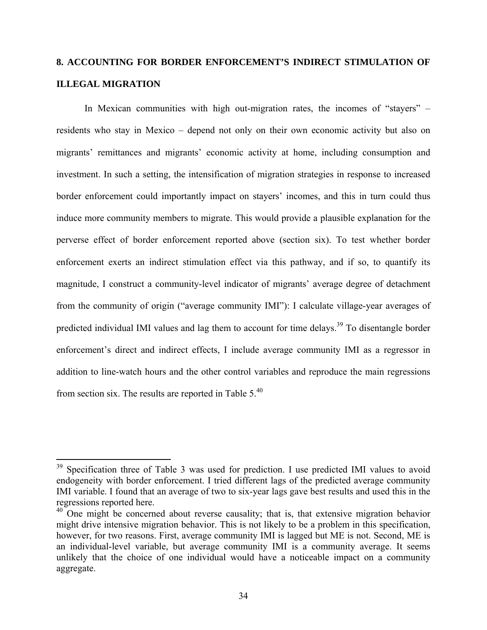# **8. ACCOUNTING FOR BORDER ENFORCEMENT'S INDIRECT STIMULATION OF ILLEGAL MIGRATION**

In Mexican communities with high out-migration rates, the incomes of "stayers" – residents who stay in Mexico – depend not only on their own economic activity but also on migrants' remittances and migrants' economic activity at home, including consumption and investment. In such a setting, the intensification of migration strategies in response to increased border enforcement could importantly impact on stayers' incomes, and this in turn could thus induce more community members to migrate. This would provide a plausible explanation for the perverse effect of border enforcement reported above (section six). To test whether border enforcement exerts an indirect stimulation effect via this pathway, and if so, to quantify its magnitude, I construct a community-level indicator of migrants' average degree of detachment from the community of origin ("average community IMI"): I calculate village-year averages of predicted individual IMI values and lag them to account for time delays.<sup>39</sup> To disentangle border enforcement's direct and indirect effects, I include average community IMI as a regressor in addition to line-watch hours and the other control variables and reproduce the main regressions from section six. The results are reported in Table 5.40

 $\overline{a}$ 

<sup>&</sup>lt;sup>39</sup> Specification three of Table 3 was used for prediction. I use predicted IMI values to avoid endogeneity with border enforcement. I tried different lags of the predicted average community IMI variable. I found that an average of two to six-year lags gave best results and used this in the regressions reported here.

 $40$  One might be concerned about reverse causality; that is, that extensive migration behavior might drive intensive migration behavior. This is not likely to be a problem in this specification, however, for two reasons. First, average community IMI is lagged but ME is not. Second, ME is an individual-level variable, but average community IMI is a community average. It seems unlikely that the choice of one individual would have a noticeable impact on a community aggregate.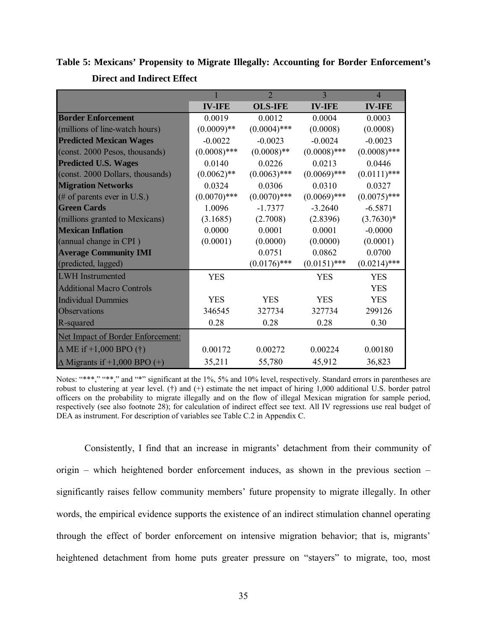**Table 5: Mexicans' Propensity to Migrate Illegally: Accounting for Border Enforcement's Direct and Indirect Effect** 

|                                     |                | $\overline{2}$ | 3              | $\overline{4}$ |
|-------------------------------------|----------------|----------------|----------------|----------------|
|                                     | <b>IV-IFE</b>  | <b>OLS-IFE</b> | <b>IV-IFE</b>  | <b>IV-IFE</b>  |
| <b>Border Enforcement</b>           | 0.0019         | 0.0012         | 0.0004         | 0.0003         |
| (millions of line-watch hours)      | $(0.0009)$ **  | $(0.0004)$ *** | (0.0008)       | (0.0008)       |
| <b>Predicted Mexican Wages</b>      | $-0.0022$      | $-0.0023$      | $-0.0024$      | $-0.0023$      |
| (const. 2000 Pesos, thousands)      | $(0.0008)$ *** | $(0.0008)$ **  | $(0.0008)$ *** | $(0.0008)$ *** |
| <b>Predicted U.S. Wages</b>         | 0.0140         | 0.0226         | 0.0213         | 0.0446         |
| (const. 2000 Dollars, thousands)    | $(0.0062)$ **  | $(0.0063)$ *** | $(0.0069)$ *** | $(0.0111)$ *** |
| <b>Migration Networks</b>           | 0.0324         | 0.0306         | 0.0310         | 0.0327         |
| (# of parents ever in U.S.)         | $(0.0070)$ *** | $(0.0070)$ *** | $(0.0069)$ *** | $(0.0075)$ *** |
| <b>Green Cards</b>                  | 1.0096         | $-1.7377$      | $-3.2640$      | $-6.5871$      |
| (millions granted to Mexicans)      | (3.1685)       | (2.7008)       | (2.8396)       | $(3.7630)*$    |
| <b>Mexican Inflation</b>            | 0.0000         | 0.0001         | 0.0001         | $-0.0000$      |
| (annual change in CPI)              | (0.0001)       | (0.0000)       | (0.0000)       | (0.0001)       |
| <b>Average Community IMI</b>        |                | 0.0751         | 0.0862         | 0.0700         |
| (predicted, lagged)                 |                | $(0.0176)$ *** | $(0.0151)$ *** | $(0.0214)$ *** |
| <b>LWH</b> Instrumented             | <b>YES</b>     |                | <b>YES</b>     | <b>YES</b>     |
| <b>Additional Macro Controls</b>    |                |                |                | <b>YES</b>     |
| <b>Individual Dummies</b>           | <b>YES</b>     | <b>YES</b>     | <b>YES</b>     | <b>YES</b>     |
| Observations                        | 346545         | 327734         | 327734         | 299126         |
| R-squared                           | 0.28           | 0.28           | 0.28           | 0.30           |
| Net Impact of Border Enforcement:   |                |                |                |                |
| $\Delta$ ME if +1,000 BPO (†)       | 0.00172        | 0.00272        | 0.00224        | 0.00180        |
| $\Delta$ Migrants if +1,000 BPO (+) | 35,211         | 55,780         | 45,912         | 36,823         |

Notes: "\*\*\*," "\*\*," and "\*" significant at the 1%, 5% and 10% level, respectively. Standard errors in parentheses are robust to clustering at year level. (†) and (+) estimate the net impact of hiring 1,000 additional U.S. border patrol officers on the probability to migrate illegally and on the flow of illegal Mexican migration for sample period, respectively (see also footnote 28); for calculation of indirect effect see text. All IV regressions use real budget of DEA as instrument. For description of variables see Table C.2 in Appendix C.

Consistently, I find that an increase in migrants' detachment from their community of origin – which heightened border enforcement induces, as shown in the previous section – significantly raises fellow community members' future propensity to migrate illegally. In other words, the empirical evidence supports the existence of an indirect stimulation channel operating through the effect of border enforcement on intensive migration behavior; that is, migrants' heightened detachment from home puts greater pressure on "stayers" to migrate, too, most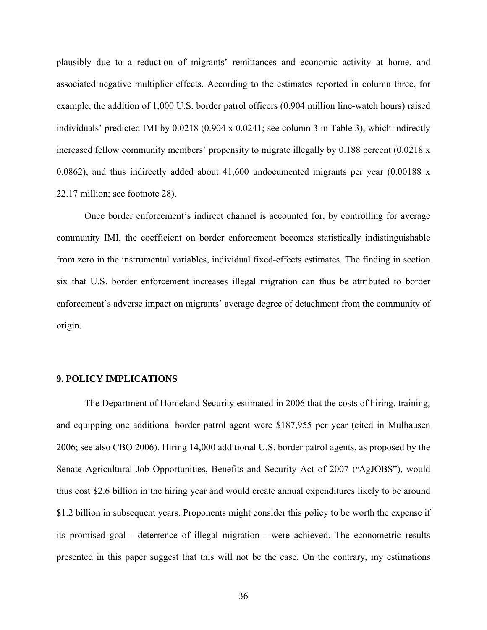plausibly due to a reduction of migrants' remittances and economic activity at home, and associated negative multiplier effects. According to the estimates reported in column three, for example, the addition of 1,000 U.S. border patrol officers (0.904 million line-watch hours) raised individuals' predicted IMI by 0.0218 (0.904 x 0.0241; see column 3 in Table 3), which indirectly increased fellow community members' propensity to migrate illegally by 0.188 percent (0.0218 x 0.0862), and thus indirectly added about 41,600 undocumented migrants per year (0.00188 x 22.17 million; see footnote 28).

Once border enforcement's indirect channel is accounted for, by controlling for average community IMI, the coefficient on border enforcement becomes statistically indistinguishable from zero in the instrumental variables, individual fixed-effects estimates. The finding in section six that U.S. border enforcement increases illegal migration can thus be attributed to border enforcement's adverse impact on migrants' average degree of detachment from the community of origin.

### **9. POLICY IMPLICATIONS**

The Department of Homeland Security estimated in 2006 that the costs of hiring, training, and equipping one additional border patrol agent were \$187,955 per year (cited in Mulhausen 2006; see also CBO 2006). Hiring 14,000 additional U.S. border patrol agents, as proposed by the Senate Agricultural Job Opportunities, Benefits and Security Act of 2007 ("AgJOBS"), would thus cost \$2.6 billion in the hiring year and would create annual expenditures likely to be around \$1.2 billion in subsequent years. Proponents might consider this policy to be worth the expense if its promised goal - deterrence of illegal migration - were achieved. The econometric results presented in this paper suggest that this will not be the case. On the contrary, my estimations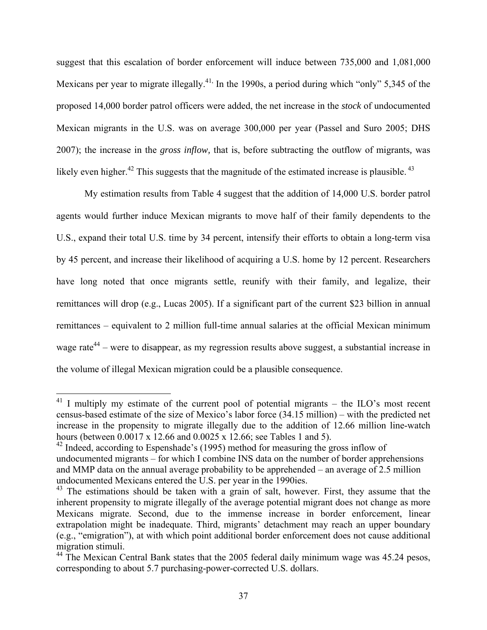suggest that this escalation of border enforcement will induce between 735,000 and 1,081,000 Mexicans per year to migrate illegally.<sup>41,</sup> In the 1990s, a period during which "only" 5,345 of the proposed 14,000 border patrol officers were added, the net increase in the *stock* of undocumented Mexican migrants in the U.S. was on average 300,000 per year (Passel and Suro 2005; DHS 2007); the increase in the *gross inflow,* that is, before subtracting the outflow of migrants*,* was likely even higher.<sup>42</sup> This suggests that the magnitude of the estimated increase is plausible.<sup>43</sup>

My estimation results from Table 4 suggest that the addition of 14,000 U.S. border patrol agents would further induce Mexican migrants to move half of their family dependents to the U.S., expand their total U.S. time by 34 percent, intensify their efforts to obtain a long-term visa by 45 percent, and increase their likelihood of acquiring a U.S. home by 12 percent. Researchers have long noted that once migrants settle, reunify with their family, and legalize, their remittances will drop (e.g., Lucas 2005). If a significant part of the current \$23 billion in annual remittances – equivalent to 2 million full-time annual salaries at the official Mexican minimum wage rate<sup>44</sup> – were to disappear, as my regression results above suggest, a substantial increase in the volume of illegal Mexican migration could be a plausible consequence.

 $\overline{a}$ 

 $^{41}$  I multiply my estimate of the current pool of potential migrants – the ILO's most recent census-based estimate of the size of Mexico's labor force (34.15 million) – with the predicted net increase in the propensity to migrate illegally due to the addition of 12.66 million line-watch hours (between 0.0017 x 12.66 and 0.0025 x 12.66; see Tables 1 and 5).

 $42$  Indeed, according to Espenshade's (1995) method for measuring the gross inflow of undocumented migrants – for which I combine INS data on the number of border apprehensions and MMP data on the annual average probability to be apprehended – an average of 2.5 million undocumented Mexicans entered the U.S. per year in the 1990ies.

 $43$  The estimations should be taken with a grain of salt, however. First, they assume that the inherent propensity to migrate illegally of the average potential migrant does not change as more Mexicans migrate. Second, due to the immense increase in border enforcement, linear extrapolation might be inadequate. Third, migrants' detachment may reach an upper boundary (e.g., "emigration"), at with which point additional border enforcement does not cause additional migration stimuli.

<sup>&</sup>lt;sup>44</sup> The Mexican Central Bank states that the 2005 federal daily minimum wage was 45.24 pesos, corresponding to about 5.7 purchasing-power-corrected U.S. dollars.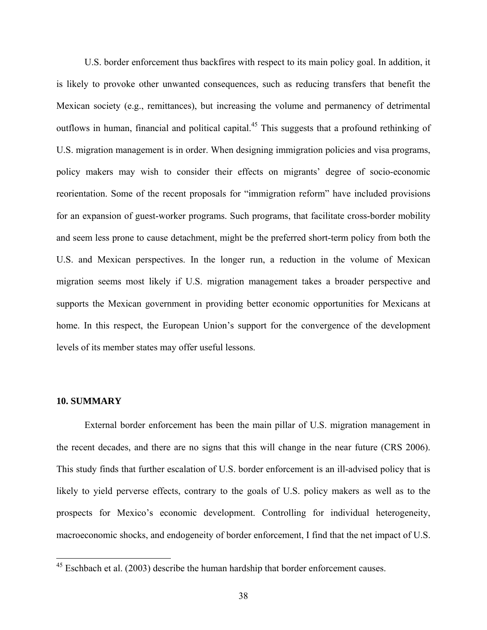U.S. border enforcement thus backfires with respect to its main policy goal. In addition, it is likely to provoke other unwanted consequences, such as reducing transfers that benefit the Mexican society (e.g., remittances), but increasing the volume and permanency of detrimental outflows in human, financial and political capital.<sup>45</sup> This suggests that a profound rethinking of U.S. migration management is in order. When designing immigration policies and visa programs, policy makers may wish to consider their effects on migrants' degree of socio-economic reorientation. Some of the recent proposals for "immigration reform" have included provisions for an expansion of guest-worker programs. Such programs, that facilitate cross-border mobility and seem less prone to cause detachment, might be the preferred short-term policy from both the U.S. and Mexican perspectives. In the longer run, a reduction in the volume of Mexican migration seems most likely if U.S. migration management takes a broader perspective and supports the Mexican government in providing better economic opportunities for Mexicans at home. In this respect, the European Union's support for the convergence of the development levels of its member states may offer useful lessons.

### **10. SUMMARY**

 $\overline{a}$ 

External border enforcement has been the main pillar of U.S. migration management in the recent decades, and there are no signs that this will change in the near future (CRS 2006). This study finds that further escalation of U.S. border enforcement is an ill-advised policy that is likely to yield perverse effects, contrary to the goals of U.S. policy makers as well as to the prospects for Mexico's economic development. Controlling for individual heterogeneity, macroeconomic shocks, and endogeneity of border enforcement, I find that the net impact of U.S.

 $45$  Eschbach et al. (2003) describe the human hardship that border enforcement causes.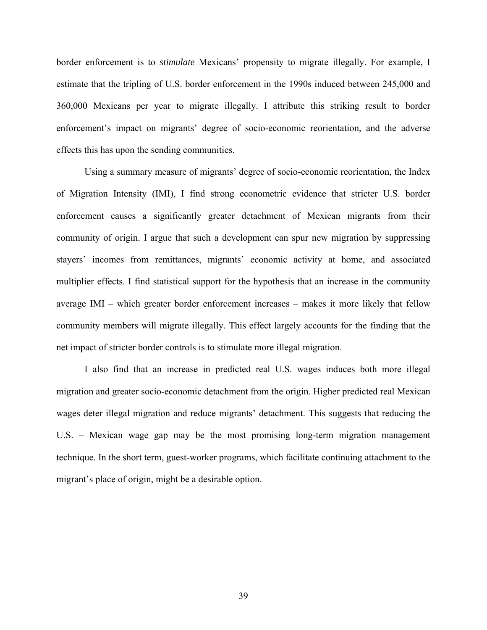border enforcement is to *stimulate* Mexicans' propensity to migrate illegally. For example, I estimate that the tripling of U.S. border enforcement in the 1990s induced between 245,000 and 360,000 Mexicans per year to migrate illegally. I attribute this striking result to border enforcement's impact on migrants' degree of socio-economic reorientation, and the adverse effects this has upon the sending communities.

Using a summary measure of migrants' degree of socio-economic reorientation, the Index of Migration Intensity (IMI), I find strong econometric evidence that stricter U.S. border enforcement causes a significantly greater detachment of Mexican migrants from their community of origin. I argue that such a development can spur new migration by suppressing stayers' incomes from remittances, migrants' economic activity at home, and associated multiplier effects. I find statistical support for the hypothesis that an increase in the community average IMI – which greater border enforcement increases – makes it more likely that fellow community members will migrate illegally. This effect largely accounts for the finding that the net impact of stricter border controls is to stimulate more illegal migration.

I also find that an increase in predicted real U.S. wages induces both more illegal migration and greater socio-economic detachment from the origin. Higher predicted real Mexican wages deter illegal migration and reduce migrants' detachment. This suggests that reducing the U.S. – Mexican wage gap may be the most promising long-term migration management technique. In the short term, guest-worker programs, which facilitate continuing attachment to the migrant's place of origin, might be a desirable option.

39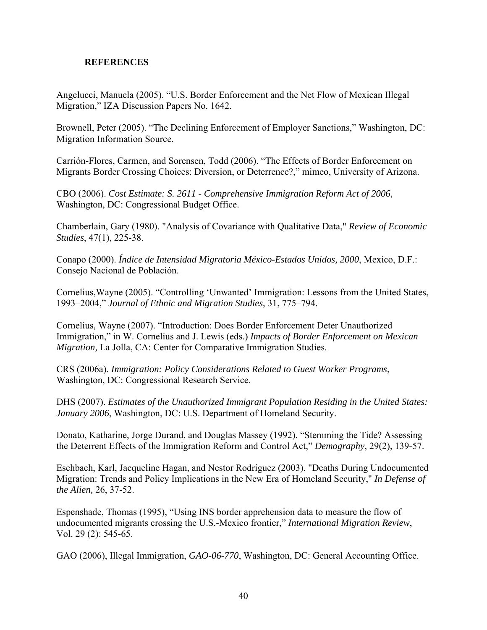### **REFERENCES**

Angelucci, Manuela (2005). "U.S. Border Enforcement and the Net Flow of Mexican Illegal Migration," IZA Discussion Papers No. 1642.

Brownell, Peter (2005). "The Declining Enforcement of Employer Sanctions," Washington, DC: Migration Information Source.

Carrión-Flores, Carmen, and Sorensen, Todd (2006). "The Effects of Border Enforcement on Migrants Border Crossing Choices: Diversion, or Deterrence?," mimeo, University of Arizona.

CBO (2006). *Cost Estimate: S. 2611 - Comprehensive Immigration Reform Act of 2006*, Washington, DC: Congressional Budget Office.

Chamberlain, Gary (1980). "Analysis of Covariance with Qualitative Data," *Review of Economic Studies*, 47(1), 225-38.

Conapo (2000). *Índice de Intensidad Migratoria México-Estados Unidos, 2000*, Mexico, D.F.: Consejo Nacional de Población.

Cornelius,Wayne (2005). "Controlling 'Unwanted' Immigration: Lessons from the United States, 1993–2004," *Journal of Ethnic and Migration Studies*, 31, 775–794.

Cornelius, Wayne (2007). "Introduction: Does Border Enforcement Deter Unauthorized Immigration," in W. Cornelius and J. Lewis (eds.) *Impacts of Border Enforcement on Mexican Migration,* La Jolla, CA: Center for Comparative Immigration Studies.

CRS (2006a). *Immigration: Policy Considerations Related to Guest Worker Programs*, Washington, DC: Congressional Research Service.

DHS (2007). *Estimates of the Unauthorized Immigrant Population Residing in the United States: January 2006*, Washington, DC: U.S. Department of Homeland Security.

Donato, Katharine, Jorge Durand, and Douglas Massey (1992). "Stemming the Tide? Assessing the Deterrent Effects of the Immigration Reform and Control Act," *Demography*, 29(2), 139-57.

Eschbach, Karl, Jacqueline Hagan, and Nestor Rodríguez (2003). "Deaths During Undocumented Migration: Trends and Policy Implications in the New Era of Homeland Security," *In Defense of the Alien,* 26, 37-52.

Espenshade, Thomas (1995), "Using INS border apprehension data to measure the flow of undocumented migrants crossing the U.S.-Mexico frontier," *International Migration Review*, Vol. 29 (2): 545-65.

GAO (2006), Illegal Immigration, *GAO-06-770*, Washington, DC: General Accounting Office.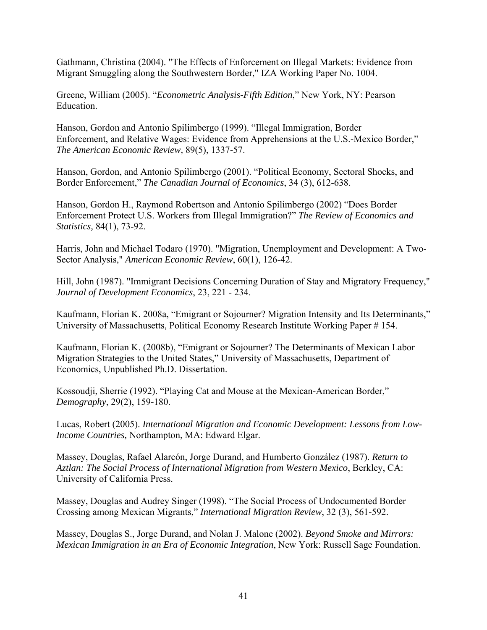Gathmann, Christina (2004). "The Effects of Enforcement on Illegal Markets: Evidence from Migrant Smuggling along the Southwestern Border," IZA Working Paper No. 1004.

Greene, William (2005). "*Econometric Analysis-Fifth Edition*," New York, NY: Pearson Education.

Hanson, Gordon and Antonio Spilimbergo (1999). "Illegal Immigration, Border Enforcement, and Relative Wages: Evidence from Apprehensions at the U.S.-Mexico Border," *The American Economic Review,* 89(5), 1337-57.

Hanson, Gordon, and Antonio Spilimbergo (2001). "Political Economy, Sectoral Shocks, and Border Enforcement," *The Canadian Journal of Economics*, 34 (3), 612-638.

Hanson, Gordon H., Raymond Robertson and Antonio Spilimbergo (2002) "Does Border Enforcement Protect U.S. Workers from Illegal Immigration?" *The Review of Economics and Statistics,* 84(1), 73-92.

Harris, John and Michael Todaro (1970). "Migration, Unemployment and Development: A Two-Sector Analysis," *American Economic Review*, 60(1), 126-42.

Hill, John (1987). "Immigrant Decisions Concerning Duration of Stay and Migratory Frequency," *Journal of Development Economics*, 23, 221 - 234.

Kaufmann, Florian K. 2008a, "Emigrant or Sojourner? Migration Intensity and Its Determinants," University of Massachusetts, Political Economy Research Institute Working Paper # 154.

Kaufmann, Florian K. (2008b), "Emigrant or Sojourner? The Determinants of Mexican Labor Migration Strategies to the United States," University of Massachusetts, Department of Economics, Unpublished Ph.D. Dissertation.

Kossoudji, Sherrie (1992). "Playing Cat and Mouse at the Mexican-American Border," *Demography*, 29(2), 159-180.

Lucas, Robert (2005). *International Migration and Economic Development: Lessons from Low-Income Countries,* Northampton, MA: Edward Elgar.

Massey, Douglas, Rafael Alarcón, Jorge Durand, and Humberto González (1987). *Return to Aztlan: The Social Process of International Migration from Western Mexico*, Berkley, CA: University of California Press.

Massey, Douglas and Audrey Singer (1998). "The Social Process of Undocumented Border Crossing among Mexican Migrants," *International Migration Review*, 32 (3), 561-592.

Massey, Douglas S., Jorge Durand, and Nolan J. Malone (2002). *Beyond Smoke and Mirrors: Mexican Immigration in an Era of Economic Integration*, New York: Russell Sage Foundation.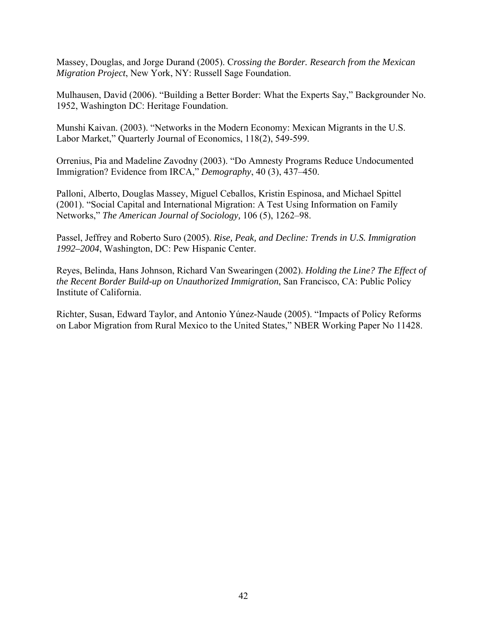Massey, Douglas, and Jorge Durand (2005). C*rossing the Border. Research from the Mexican Migration Project*, New York, NY: Russell Sage Foundation.

Mulhausen, David (2006). "Building a Better Border: What the Experts Say," Backgrounder No. 1952, Washington DC: Heritage Foundation.

Munshi Kaivan. (2003). "Networks in the Modern Economy: Mexican Migrants in the U.S. Labor Market," Quarterly Journal of Economics, 118(2), 549-599.

Orrenius, Pia and Madeline Zavodny (2003). "Do Amnesty Programs Reduce Undocumented Immigration? Evidence from IRCA," *Demography*, 40 (3), 437–450.

Palloni, Alberto, Douglas Massey, Miguel Ceballos, Kristin Espinosa, and Michael Spittel (2001). "Social Capital and International Migration: A Test Using Information on Family Networks," *The American Journal of Sociology,* 106 (5), 1262–98.

Passel, Jeffrey and Roberto Suro (2005). *Rise, Peak, and Decline: Trends in U.S. Immigration 1992–2004*, Washington, DC: Pew Hispanic Center.

Reyes, Belinda, Hans Johnson, Richard Van Swearingen (2002). *Holding the Line? The Effect of the Recent Border Build-up on Unauthorized Immigration*, San Francisco, CA: Public Policy Institute of California.

Richter, Susan, Edward Taylor, and Antonio Yúnez-Naude (2005). "Impacts of Policy Reforms on Labor Migration from Rural Mexico to the United States," NBER Working Paper No 11428.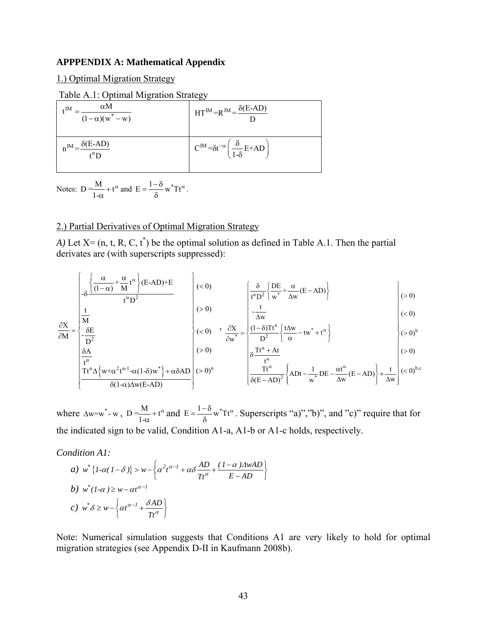### **APPPENDIX A: Mathematical Appendix**

1.) Optimal Migration Strategy

Table A.1: Optimal Migration Strategy

| $\alpha$ M<br>∡IM<br>$-\frac{1}{(1-\alpha)(w^* - w)}$ | $HT^{IM} = R^{IM} = \frac{\delta(E-AD)}{\delta(E-AD)}$                      |
|-------------------------------------------------------|-----------------------------------------------------------------------------|
| $n^{IM} = \frac{\delta(E-AD)}{A}$<br>$t^{\alpha}D$    | $C^{IM} = \delta t^{-\alpha} \left( \frac{\delta}{1-\delta} E + AD \right)$ |

Notes:  $D = \frac{M}{1-\alpha} + t$  $\frac{A}{\alpha} + t^{\alpha}$  and  $E = \frac{1-\delta}{\delta} w^* T t^{\alpha}$ .

### 2.) Partial Derivatives of Optimal Migration Strategy

*A*) Let  $X = (n, t, R, C, t^*)$  be the optimal solution as defined in Table A.1. Then the partial derivates are (with superscripts suppressed):

$$
\left[\begin{array}{c}\frac{\alpha}{\sqrt{(1-\alpha)}+\frac{\alpha}{M}t^{\alpha}}}{t^{\alpha}D^{2}}\end{array}\right](E-AD)+E\left[\begin{array}{c}\left(<0\right)\\
\frac{\delta}{t^{\alpha}D^{2}}\left(\frac{DE}{w^{*}}+\frac{\alpha}{\Delta w}(E-AD)\right)\\
t\end{array}\right](>0)
$$

$$
\frac{\partial X}{\partial M} = \begin{vmatrix} \frac{t}{M} \\ \frac{\partial E}{\partial M} \end{vmatrix} \qquad \qquad \left| \begin{array}{c} (>0) \\ (<0) \end{array} \right| \qquad \frac{\partial X}{\partial w^*} = \begin{vmatrix} -\frac{t}{\Delta w} \\ \frac{(1-\delta)Tt^{\alpha}}{D^2} \left\{ \frac{t\Delta w}{\alpha} - tw^* + t^{\alpha} \right\} \end{vmatrix} \qquad \qquad \left| \begin{array}{c} (<0) \\ (>0)^b \end{array} \right|
$$

$$
\frac{\partial X}{\partial M} = \begin{cases}\n\frac{\partial X}{\partial E} & \left\{\n\begin{array}{c}\n(0) \quad \circ \quad \frac{\partial X}{\partial w^*} = \n\end{array}\right\} \frac{(1-\delta)Tt^{\alpha}}{D^2} \left\{\n\frac{t\Delta w}{\alpha} - tw^* + t^{\alpha}\right\} \\
(0) & \left\{\n\begin{array}{c}\n\frac{\partial X}{\partial A} \\
\frac{t^{\alpha}}{B}\n\end{array}\right\} \\
(0) & \left\{\n\begin{array}{c}\n(0) \quad \circ \quad \frac{\partial X}{\partial w^*} = \n\end{array}\right\} \frac{(1-\delta)Tt^{\alpha}}{D^2} \left\{\n\frac{t\Delta w}{\alpha} - tw^* + t^{\alpha}\right\} \\
(0) & \left\{\n\begin{array}{c}\n(0) \quad 0\n\end{array}\right\} \\
(0) & \left\{\n\begin{array}{c}\n(0) \quad 0\n\end{array}\right\} \\
(0) & \left\{\n\begin{array}{c}\n(0) \quad 0\n\end{array}\right\} \\
(0) & \left\{\n\begin{array}{c}\n(0) \quad 0\n\end{array}\right\} \\
(0) & \left\{\n\begin{array}{c}\n(0) \quad 0\n\end{array}\right\} \\
(0) & \left\{\n\begin{array}{c}\n(0) \quad 0\n\end{array}\right\} \\
(0) & \left\{\n\begin{array}{c}\n(0) \quad 0\n\end{array}\right\} \\
(0) & \left\{\n\begin{array}{c}\n(0) \quad 0\n\end{array}\right\} \\
(0) & \left\{\n\begin{array}{c}\n(0) \quad 0\n\end{array}\right\} \\
(0) & \left\{\n\begin{array}{c}\n(0) \quad 0\n\end{array}\right\} \\
(0) & \left\{\n\begin{array}{c}\n(0) \quad 0\n\end{array}\right\} \\
(0) & \left\{\n\begin{array}{c}\n(0) \quad 0\n\end{array}\right\} \\
(0) & \left\{\n\begin{array}{c}\n(0) \quad 0\n\end{array}\right\} \\
(0) & \left\{\n\begin{array}{c}\n(0) \quad 0\n\end{array}\right\} \\
(0) & \left\{\n\begin{array}{c}
$$

$$
\left(\frac{t^{\alpha}}{Tt^{\alpha}\Delta\left\{w+\alpha^{2}t^{\alpha-1}-\alpha(1-\delta)w^{*}\right\}+\alpha\delta AD}{\delta(1-\alpha)\Delta w(E-AD)}\right)(>0)^{a}\qquad \qquad \left(\frac{t^{\alpha}}{\delta(E-AD)^{2}}\left\{ADt-\frac{1}{w^{*}}DE-\frac{\alpha t^{\alpha}}{\Delta w}(E-AD)\right\}+\frac{t}{\Delta w}\right)(<0)^{b,c}
$$

where  $\Delta w=w^*$ - w,  $D = \frac{M}{1-\alpha} + t$  $\frac{A}{\alpha}$  + t<sup> $\alpha$ </sup> and E =  $\frac{1-\delta}{\delta}$  w<sup>\*</sup>Tt<sup> $\alpha$ </sup>. Superscripts "a)", "b)", and "c)" require that for the indicated sign to be valid, Condition A1-a, A1-b or A1-c holds, respectively.

*Condition A1:* 

a) 
$$
w^* \{I - \alpha (I - \delta) \} > w - \left\{ \alpha^2 t^{\alpha - 1} + \alpha \delta \frac{AD}{Tt^{\alpha}} + \frac{(I - \alpha) \Delta wAD}{E - AD} \right\}
$$
  
b)  $w^* (I - \alpha) \ge w - \alpha t^{\alpha - 1}$   
c)  $w^* \delta \ge w - \left\{ \alpha t^{\alpha - 1} + \frac{\delta AD}{Tt^{\alpha}} \right\}$ 

Note: Numerical simulation suggests that Conditions A1 are very likely to hold for optimal migration strategies (see Appendix D-II in Kaufmann 2008b).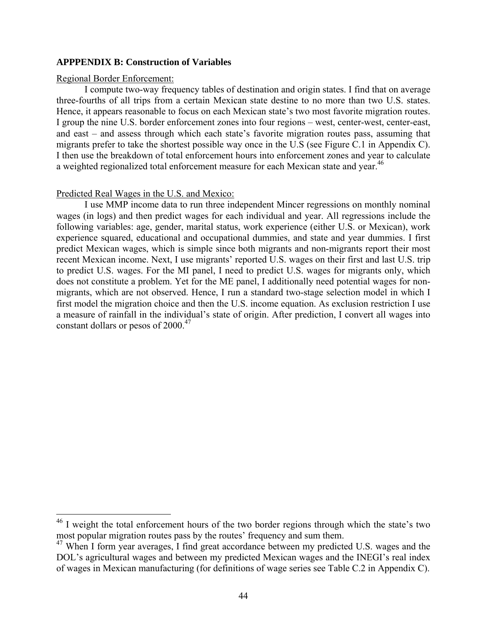### **APPPENDIX B: Construction of Variables**

### Regional Border Enforcement:

 $\overline{a}$ 

I compute two-way frequency tables of destination and origin states. I find that on average three-fourths of all trips from a certain Mexican state destine to no more than two U.S. states. Hence, it appears reasonable to focus on each Mexican state's two most favorite migration routes. I group the nine U.S. border enforcement zones into four regions – west, center-west, center-east, and east – and assess through which each state's favorite migration routes pass, assuming that migrants prefer to take the shortest possible way once in the U.S (see Figure C.1 in Appendix C). I then use the breakdown of total enforcement hours into enforcement zones and year to calculate a weighted regionalized total enforcement measure for each Mexican state and year.<sup>46</sup>

### Predicted Real Wages in the U.S. and Mexico:

I use MMP income data to run three independent Mincer regressions on monthly nominal wages (in logs) and then predict wages for each individual and year. All regressions include the following variables: age, gender, marital status, work experience (either U.S. or Mexican), work experience squared, educational and occupational dummies, and state and year dummies. I first predict Mexican wages, which is simple since both migrants and non-migrants report their most recent Mexican income. Next, I use migrants' reported U.S. wages on their first and last U.S. trip to predict U.S. wages. For the MI panel, I need to predict U.S. wages for migrants only, which does not constitute a problem. Yet for the ME panel, I additionally need potential wages for nonmigrants, which are not observed. Hence, I run a standard two-stage selection model in which I first model the migration choice and then the U.S. income equation. As exclusion restriction I use a measure of rainfall in the individual's state of origin. After prediction, I convert all wages into constant dollars or pesos of  $2000^{47}$ 

 $46$  I weight the total enforcement hours of the two border regions through which the state's two most popular migration routes pass by the routes' frequency and sum them.

<sup>&</sup>lt;sup>47</sup> When I form year averages, I find great accordance between my predicted U.S. wages and the DOL's agricultural wages and between my predicted Mexican wages and the INEGI's real index of wages in Mexican manufacturing (for definitions of wage series see Table C.2 in Appendix C).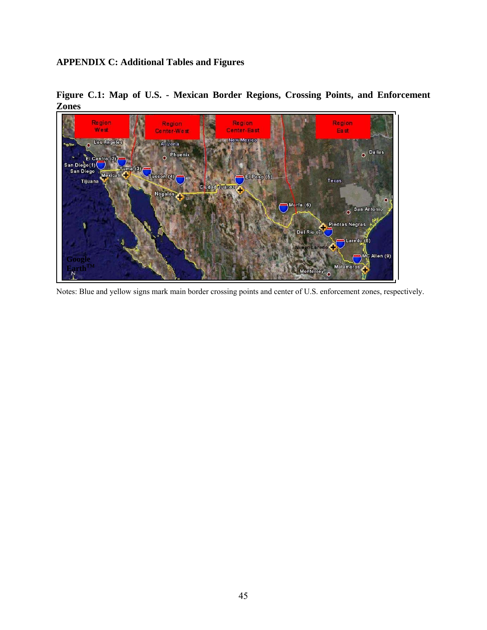### **APPENDIX C: Additional Tables and Figures**



**Figure C.1: Map of U.S. - Mexican Border Regions, Crossing Points, and Enforcement Zones** 

Notes: Blue and yellow signs mark main border crossing points and center of U.S. enforcement zones, respectively.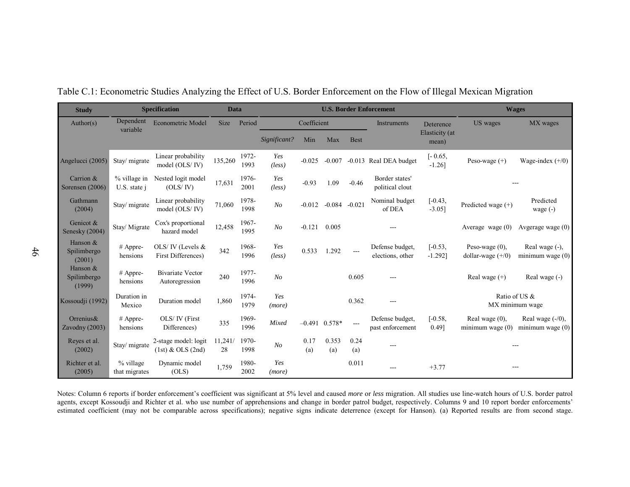| <b>Study</b>                      |                              | <b>Specification</b>                          | <b>Data</b>   |               | <b>U.S. Border Enforcement</b> |             |                   |             | <b>Wages</b>                        |                         |                                          |                                           |
|-----------------------------------|------------------------------|-----------------------------------------------|---------------|---------------|--------------------------------|-------------|-------------------|-------------|-------------------------------------|-------------------------|------------------------------------------|-------------------------------------------|
| Author(s)                         | Dependent<br>variable        | <b>Econometric Model</b>                      | <b>Size</b>   | Period        |                                | Coefficient |                   |             | Instruments                         | Deterence               | US wages                                 | MX wages                                  |
|                                   |                              |                                               |               |               | Significant?                   | Min         | Max               | <b>Best</b> |                                     | Elasticity (at<br>mean) |                                          |                                           |
| Angelucci (2005)                  | Stay/ migrate                | Linear probability<br>model (OLS/IV)          | 135,260       | 1972-<br>1993 | Yes<br>(less)                  | $-0.025$    | $-0.007$          |             | -0.013 Real DEA budget              | $[-0.65,$<br>$-1.26$ ]  | Peso-wage $(+)$                          | Wage-index $(+/0)$                        |
| Carrion &<br>Sorensen (2006)      | % village in<br>U.S. state i | Nested logit model<br>(OLS/IV)                | 17,631        | 1976-<br>2001 | Yes<br>(less)                  | $-0.93$     | 1.09              | $-0.46$     | Border states'<br>political clout   |                         |                                          |                                           |
| Gathmann<br>(2004)                | Stay/ migrate                | Linear probability<br>model (OLS/IV)          | 71,060        | 1978-<br>1998 | N <sub>O</sub>                 | $-0.012$    | $-0.084$          | $-0.021$    | Nominal budget<br>of DEA            | $[-0.43,$<br>$-3.05$ ]  | Predicted wage (+)                       | Predicted<br>wage $(-)$                   |
| Genicot &<br>Senesky (2004)       | Stay/ Migrate                | Cox's proportional<br>hazard model            | 12,458        | 1967-<br>1995 | N <sub>O</sub>                 | $-0.121$    | 0.005             |             |                                     |                         | Average wage $(0)$                       | Avgerage wage $(0)$                       |
| Hanson &<br>Spilimbergo<br>(2001) | # Appre-<br>hensions         | OLS/IV (Levels $&$<br>First Differences)      | 342           | 1968-<br>1996 | Yes<br>(less)                  | 0.533       | 1.292             | ---         | Defense budget,<br>elections, other | $[-0.53,$<br>$-1.292$ ] | Peso-wage $(0)$ ,<br>dollar-wage $(+/0)$ | Real wage (-),<br>minimum wage $(0)$      |
| Hanson &<br>Spilimbergo<br>(1999) | # Appre-<br>hensions         | <b>Bivariate Vector</b><br>Autoregression     | 240           | 1977-<br>1996 | N <sub>O</sub>                 |             |                   | 0.605       |                                     |                         | Real wage $(+)$                          | Real wage (-)                             |
| Kossoudji (1992)                  | Duration in<br>Mexico        | Duration model                                | 1,860         | 1974-<br>1979 | Yes<br>(more)                  |             |                   | 0.362       |                                     |                         | Ratio of US &                            | MX minimum wage                           |
| Orrenius $\&$<br>Zavodny (2003)   | $#$ Appre-<br>hensions       | OLS/ IV (First<br>Differences)                | 335           | 1969-<br>1996 | Mixed                          |             | $-0.491$ $0.578*$ | ---         | Defense budget,<br>past enforcement | $[-0.58,$<br>$0.49$ ]   | Real wage $(0)$ ,<br>minimum wage $(0)$  | Real wage $(-/0)$ ,<br>minimum wage $(0)$ |
| Reyes et al.<br>(2002)            | Stay/ migrate                | 2-stage model: logit<br>$(1st)$ & OLS $(2nd)$ | 11,241/<br>28 | 1970-<br>1998 | N <sub>O</sub>                 | 0.17<br>(a) | 0.353<br>(a)      | 0.24<br>(a) | ---                                 |                         |                                          |                                           |
| Richter et al.<br>(2005)          | % village<br>that migrates   | Dynamic model<br>(OLS)                        | 1,759         | 1980-<br>2002 | Yes<br>(more)                  |             |                   | 0.011       | $---$                               | $+3.77$                 |                                          | ---                                       |

Table C.1: Econometric Studies Analyzing the Effect of U.S. Border Enforcement on the Flow of Illegal Mexican Migration

Notes: Column 6 reports if border enforcement's coefficient was significant at 5% level and caused *more* or *less* migration. All studies use line-watch hours of U.S. border patrol agents, except Kossoudji and Richter et al. who use number of apprehensions and change in border patrol budget, respectively. Columns 9 and 10 report border enforcements' estimated coefficient (may not be comparable across specifications); negative signs indicate deterrence (except for Hanson). (a) Reported results are from second stage.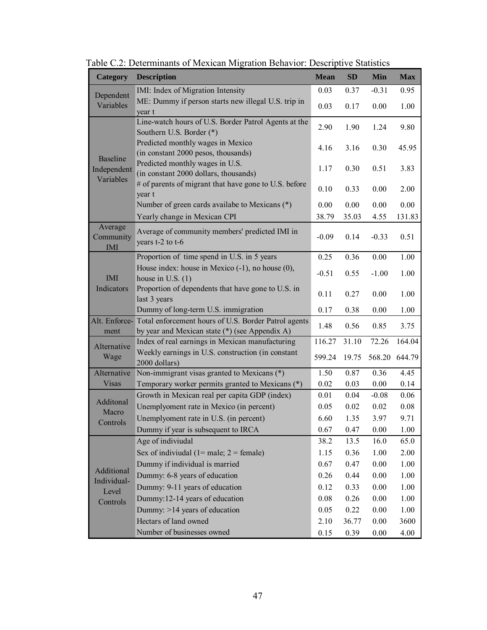| <b>Category</b>                | <b>Description</b>                                                                                                   | <b>Mean</b> | SD    | Min      | <b>Max</b> |
|--------------------------------|----------------------------------------------------------------------------------------------------------------------|-------------|-------|----------|------------|
| Dependent                      | IMI: Index of Migration Intensity                                                                                    | 0.03        | 0.37  | $-0.31$  | 0.95       |
| Variables                      | ME: Dummy if person starts new illegal U.S. trip in<br>year t                                                        | 0.03        | 0.17  | 0.00     | 1.00       |
|                                | Line-watch hours of U.S. Border Patrol Agents at the<br>Southern U.S. Border (*)                                     | 2.90        | 1.90  | 1.24     | 9.80       |
|                                | Predicted monthly wages in Mexico<br>(in constant 2000 pesos, thousands)                                             | 4.16        | 3.16  | 0.30     | 45.95      |
| <b>Baseline</b><br>Independent | Predicted monthly wages in U.S.<br>(in constant 2000 dollars, thousands)                                             | 1.17        | 0.30  | 0.51     | 3.83       |
| Variables                      | # of parents of migrant that have gone to U.S. before<br>year t                                                      | 0.10        | 0.33  | 0.00     | 2.00       |
|                                | Number of green cards availabe to Mexicans (*)                                                                       | 0.00        | 0.00  | 0.00     | 0.00       |
|                                | Yearly change in Mexican CPI                                                                                         | 38.79       | 35.03 | 4.55     | 131.83     |
| Average<br>Community<br>IMI    | Average of community members' predicted IMI in<br>years t-2 to t-6                                                   | $-0.09$     | 0.14  | $-0.33$  | 0.51       |
|                                | Proportion of time spend in U.S. in 5 years                                                                          | 0.25        | 0.36  | 0.00     | 1.00       |
| <b>IMI</b>                     | House index: house in Mexico $(-1)$ , no house $(0)$ ,<br>house in U.S. $(1)$                                        | $-0.51$     | 0.55  | $-1.00$  | 1.00       |
| Indicators                     | Proportion of dependents that have gone to U.S. in<br>last 3 years                                                   | 0.11        | 0.27  | 0.00     | 1.00       |
|                                | Dummy of long-term U.S. immigration                                                                                  | 0.17        | 0.38  | 0.00     | 1.00       |
| ment                           | Alt. Enforce- Total enforcement hours of U.S. Border Patrol agents<br>by year and Mexican state (*) (see Appendix A) | 1.48        | 0.56  | 0.85     | 3.75       |
|                                | Index of real earnings in Mexican manufacturing                                                                      | 116.27      | 31.10 | 72.26    | 164.04     |
| Alternative<br>Wage            | Weekly earnings in U.S. construction (in constant<br>2000 dollars)                                                   | 599.24      | 19.75 | 568.20   | 644.79     |
| Alternative                    | Non-immigrant visas granted to Mexicans (*)                                                                          | 1.50        | 0.87  | 0.36     | 4.45       |
| <b>Visas</b>                   | Temporary worker permits granted to Mexicans (*)                                                                     | 0.02        | 0.03  | 0.00     | 0.14       |
|                                | Growth in Mexican real per capita GDP (index)                                                                        | 0.01        | 0.04  | $-0.08$  | 0.06       |
| Additonal<br>Macro             | Unemplyoment rate in Mexico (in percent)                                                                             | 0.05        | 0.02  | 0.02     | 0.08       |
| Controls                       | Unemplyoment rate in U.S. (in percent)                                                                               | 6.60        | 1.35  | 3.97     | 9.71       |
|                                | Dummy if year is subsequent to IRCA                                                                                  | 0.67        | 0.47  | 0.00     | 1.00       |
|                                | Age of indiviudal                                                                                                    | 38.2        | 13.5  | 16.0     | 65.0       |
|                                | Sex of indiviudal $(1=$ male; $2=$ female)                                                                           | 1.15        | 0.36  | 1.00     | 2.00       |
|                                | Dummy if individual is married                                                                                       | 0.67        | 0.47  | 0.00     | 1.00       |
| Additional<br>Individual-      | Dummy: 6-8 years of education                                                                                        | 0.26        | 0.44  | 0.00     | 1.00       |
| Level                          | Dummy: 9-11 years of education                                                                                       | 0.12        | 0.33  | 0.00     | 1.00       |
| Controls                       | Dummy: 12-14 years of education                                                                                      | 0.08        | 0.26  | $0.00\,$ | 1.00       |
|                                | Dummy: >14 years of education                                                                                        | 0.05        | 0.22  | 0.00     | 1.00       |
|                                | Hectars of land owned                                                                                                | 2.10        | 36.77 | 0.00     | 3600       |
|                                | Number of businesses owned                                                                                           | 0.15        | 0.39  | 0.00     | 4.00       |

Table C.2: Determinants of Mexican Migration Behavior: Descriptive Statistics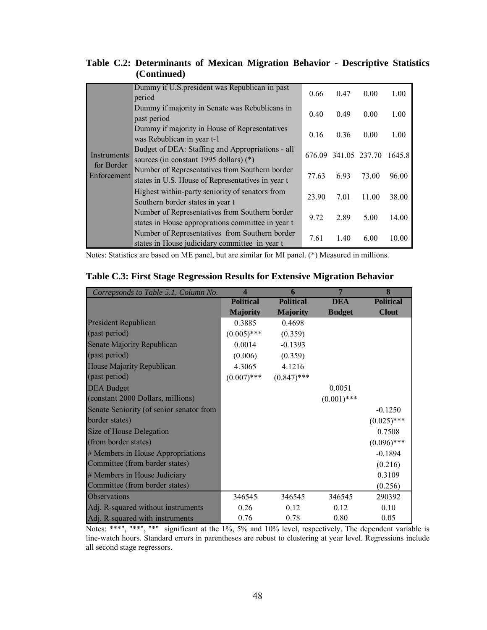|  | Table C.2: Determinants of Mexican Migration Behavior - Descriptive Statistics |  |  |  |  |
|--|--------------------------------------------------------------------------------|--|--|--|--|
|  | (Continued)                                                                    |  |  |  |  |

|                           | Dummy if U.S. president was Republican in past<br>period                                            | 0.66  | 0.47                 | 0.00  | 1.00   |
|---------------------------|-----------------------------------------------------------------------------------------------------|-------|----------------------|-------|--------|
|                           | Dummy if majority in Senate was Rebublicans in<br>past period                                       | 0.40  | 0.49                 | 0.00  | 1.00   |
|                           | Dummy if majority in House of Representatives<br>was Rebublican in year t-1                         | 0.16  | 0.36                 | 0.00  | 1.00   |
| Instruments               | Budget of DEA: Staffing and Appropriations - all<br>sources (in constant 1995 dollars) (*)          |       | 676.09 341.05 237.70 |       | 1645.8 |
| for Border<br>Enforcement | Number of Representatives from Southern border<br>states in U.S. House of Representatives in year t | 77.63 | 6.93                 | 73.00 | 96.00  |
|                           | Highest within-party seniority of senators from<br>Southern border states in year t                 | 23.90 | 7.01                 | 11.00 | 38.00  |
|                           | Number of Representatives from Southern border<br>states in House approprations committee in year t | 9.72  | 2.89                 | 5.00  | 14.00  |
|                           | Number of Representatives from Southern border<br>states in House judicidary committee in year t    | 7.61  | 1.40                 | 6.00  | 10.00  |

Notes: Statistics are based on ME panel, but are similar for MI panel. (\*) Measured in millions.

| Correpsonds to Table 5.1, Column No.     | $\boldsymbol{\varDelta}$ | 6                | 7             | 8                |
|------------------------------------------|--------------------------|------------------|---------------|------------------|
|                                          | <b>Political</b>         | <b>Political</b> | <b>DEA</b>    | <b>Political</b> |
|                                          | <b>Majority</b>          | <b>Majority</b>  | <b>Budget</b> | <b>Clout</b>     |
| <b>President Republican</b>              | 0.3885                   | 0.4698           |               |                  |
| (past period)                            | $(0.005)$ ***            | (0.359)          |               |                  |
| Senate Majority Republican               | 0.0014                   | $-0.1393$        |               |                  |
| (past period)                            | (0.006)                  | (0.359)          |               |                  |
| House Majority Republican                | 4.3065                   | 4.1216           |               |                  |
| (past period)                            | $(0.007)$ ***            | $(0.847)$ ***    |               |                  |
| <b>DEA</b> Budget                        |                          |                  | 0.0051        |                  |
| (constant 2000 Dollars, millions)        |                          |                  | $(0.001)$ *** |                  |
| Senate Seniority (of senior senator from |                          |                  |               | $-0.1250$        |
| border states)                           |                          |                  |               | $(0.025)$ ***    |
| Size of House Delegation                 |                          |                  |               | 0.7508           |
| (from border states)                     |                          |                  |               | $(0.096)$ ***    |
| # Members in House Appropriations        |                          |                  |               | $-0.1894$        |
| Committee (from border states)           |                          |                  |               | (0.216)          |
| # Members in House Judiciary             |                          |                  |               | 0.3109           |
| Committee (from border states)           |                          |                  |               | (0.256)          |
| Observations                             | 346545                   | 346545           | 346545        | 290392           |
| Adj. R-squared without instruments       | 0.26                     | 0.12             | 0.12          | 0.10             |
| Adj. R-squared with instruments          | 0.76                     | 0.78             | 0.80          | 0.05             |

### **Table C.3: First Stage Regression Results for Extensive Migration Behavior**

Notes: \*\*\*", "\*\*", "\*" significant at the 1%, 5% and 10% level, respectively. The dependent variable is line-watch hours. Standard errors in parentheses are robust to clustering at year level. Regressions include all second stage regressors.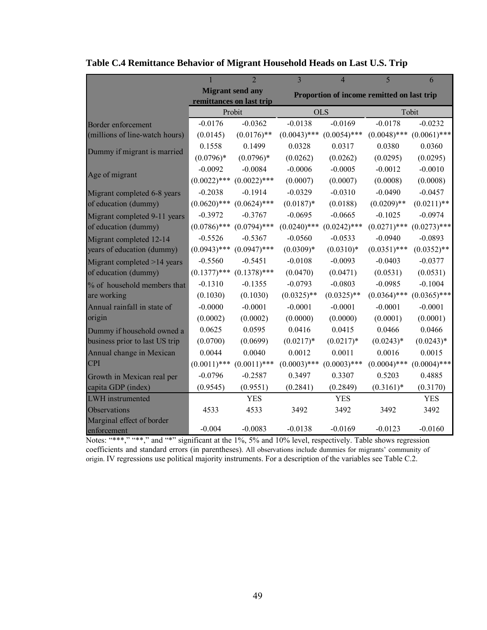|                                          |                | $\mathfrak{D}$                                      | $\overline{\mathcal{E}}$ | $\overline{4}$                             | 5              | 6              |
|------------------------------------------|----------------|-----------------------------------------------------|--------------------------|--------------------------------------------|----------------|----------------|
|                                          |                | <b>Migrant send any</b><br>remittances on last trip |                          | Proportion of income remitted on last trip |                |                |
|                                          |                | Probit                                              |                          | <b>OLS</b>                                 |                | Tobit          |
| Border enforcement                       | $-0.0176$      | $-0.0362$                                           | $-0.0138$                | $-0.0169$                                  | $-0.0178$      | $-0.0232$      |
| (millions of line-watch hours)           | (0.0145)       | $(0.0176)$ **                                       | $(0.0043)$ ***           | $(0.0054)$ ***                             | $(0.0048)$ *** | $(0.0061)$ *** |
| Dummy if migrant is married              | 0.1558         | 0.1499                                              | 0.0328                   | 0.0317                                     | 0.0380         | 0.0360         |
|                                          | $(0.0796)*$    | $(0.0796)*$                                         | (0.0262)                 | (0.0262)                                   | (0.0295)       | (0.0295)       |
|                                          | $-0.0092$      | $-0.0084$                                           | $-0.0006$                | $-0.0005$                                  | $-0.0012$      | $-0.0010$      |
| Age of migrant                           | $(0.0022)$ *** | $(0.0022)$ ***                                      | (0.0007)                 | (0.0007)                                   | (0.0008)       | (0.0008)       |
| Migrant completed 6-8 years              | $-0.2038$      | $-0.1914$                                           | $-0.0329$                | $-0.0310$                                  | $-0.0490$      | $-0.0457$      |
| of education (dummy)                     | $(0.0620)$ *** | $(0.0624)$ ***                                      | $(0.0187)$ *             | (0.0188)                                   | $(0.0209)$ **  | $(0.0211)$ **  |
| Migrant completed 9-11 years             | $-0.3972$      | $-0.3767$                                           | $-0.0695$                | $-0.0665$                                  | $-0.1025$      | $-0.0974$      |
| of education (dummy)                     | $(0.0786)$ *** | $(0.0794)$ ***                                      | $(0.0240)$ ***           | $(0.0242)$ ***                             | $(0.0271)$ *** | $(0.0273)$ *** |
| Migrant completed 12-14                  | $-0.5526$      | $-0.5367$                                           | $-0.0560$                | $-0.0533$                                  | $-0.0940$      | $-0.0893$      |
| years of education (dummy)               | $(0.0943)$ *** | $(0.0947)$ ***                                      | $(0.0309)*$              | $(0.0310)*$                                | $(0.0351)$ *** | $(0.0352)$ **  |
| Migrant completed >14 years              | $-0.5560$      | $-0.5451$                                           | $-0.0108$                | $-0.0093$                                  | $-0.0403$      | $-0.0377$      |
| of education (dummy)                     |                | $(0.1377)$ *** $(0.1378)$ ***                       | (0.0470)                 | (0.0471)                                   | (0.0531)       | (0.0531)       |
| % of household members that              | $-0.1310$      | $-0.1355$                                           | $-0.0793$                | $-0.0803$                                  | $-0.0985$      | $-0.1004$      |
| are working                              | (0.1030)       | (0.1030)                                            | $(0.0325)$ **            | $(0.0325)$ **                              | $(0.0364)$ *** | $(0.0365)$ *** |
| Annual rainfall in state of              | $-0.0000$      | $-0.0001$                                           | $-0.0001$                | $-0.0001$                                  | $-0.0001$      | $-0.0001$      |
| origin                                   | (0.0002)       | (0.0002)                                            | (0.0000)                 | (0.0000)                                   | (0.0001)       | (0.0001)       |
| Dummy if household owned a               | 0.0625         | 0.0595                                              | 0.0416                   | 0.0415                                     | 0.0466         | 0.0466         |
| business prior to last US trip           | (0.0700)       | (0.0699)                                            | $(0.0217)*$              | $(0.0217)*$                                | $(0.0243)*$    | $(0.0243)*$    |
| Annual change in Mexican                 | 0.0044         | 0.0040                                              | 0.0012                   | 0.0011                                     | 0.0016         | 0.0015         |
| <b>CPI</b>                               | $(0.0011)$ *** | $(0.0011)$ ***                                      | $(0.0003)$ ***           | $(0.0003)$ ***                             | $(0.0004)$ *** | $(0.0004)$ *** |
| Growth in Mexican real per               | $-0.0796$      | $-0.2587$                                           | 0.3497                   | 0.3307                                     | 0.5203         | 0.4885         |
| capita GDP (index)                       | (0.9545)       | (0.9551)                                            | (0.2841)                 | (0.2849)                                   | $(0.3161)*$    | (0.3170)       |
| LWH instrumented                         |                | <b>YES</b>                                          |                          | <b>YES</b>                                 |                | <b>YES</b>     |
| Observations                             | 4533           | 4533                                                | 3492                     | 3492                                       | 3492           | 3492           |
| Marginal effect of border<br>enforcement | $-0.004$       | $-0.0083$                                           | $-0.0138$                | $-0.0169$                                  | $-0.0123$      | $-0.0160$      |

|  |  | Table C.4 Remittance Behavior of Migrant Household Heads on Last U.S. Trip |  |  |
|--|--|----------------------------------------------------------------------------|--|--|
|  |  |                                                                            |  |  |

Notes: "\*\*\*," "\*\*," and "\*" significant at the 1%, 5% and 10% level, respectively. Table shows regression coefficients and standard errors (in parentheses). All observations include dummies for migrants' community of origin. IV regressions use political majority instruments. For a description of the variables see Table C.2.